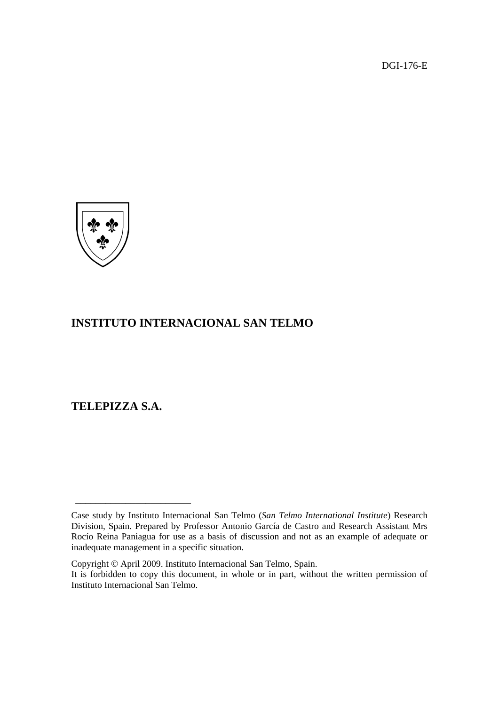DGI-176-E



# **INSTITUTO INTERNACIONAL SAN TELMO**

**TELEPIZZA S.A.** 

**\_\_\_\_\_\_\_\_\_\_\_\_\_\_\_\_\_\_\_\_\_\_\_** 

Case study by Instituto Internacional San Telmo (*San Telmo International Institute*) Research Division, Spain. Prepared by Professor Antonio García de Castro and Research Assistant Mrs Rocío Reina Paniagua for use as a basis of discussion and not as an example of adequate or inadequate management in a specific situation.

Copyright © April 2009. Instituto Internacional San Telmo, Spain.

It is forbidden to copy this document, in whole or in part, without the written permission of Instituto Internacional San Telmo.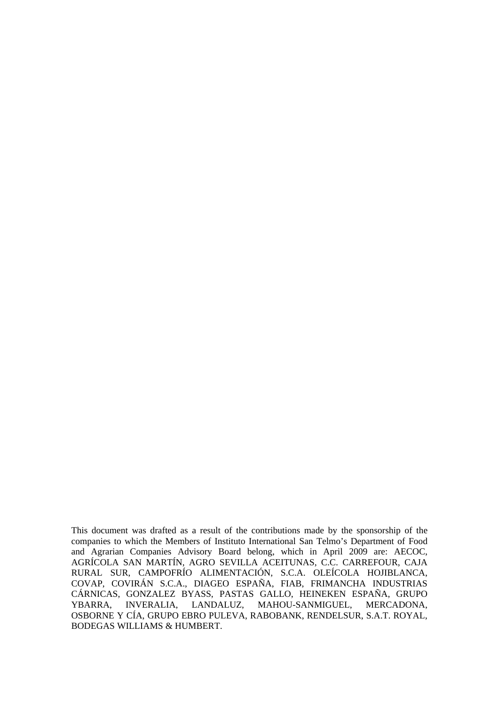This document was drafted as a result of the contributions made by the sponsorship of the companies to which the Members of Instituto International San Telmo's Department of Food and Agrarian Companies Advisory Board belong, which in April 2009 are: AECOC, AGRÍCOLA SAN MARTÍN, AGRO SEVILLA ACEITUNAS, C.C. CARREFOUR, CAJA RURAL SUR, CAMPOFRÍO ALIMENTACIÓN, S.C.A. OLEÍCOLA HOJIBLANCA, COVAP, COVIRÁN S.C.A., DIAGEO ESPAÑA, FIAB, FRIMANCHA INDUSTRIAS CÁRNICAS, GONZALEZ BYASS, PASTAS GALLO, HEINEKEN ESPAÑA, GRUPO YBARRA, INVERALIA, LANDALUZ, MAHOU-SANMIGUEL, MERCADONA, OSBORNE Y CÍA, GRUPO EBRO PULEVA, RABOBANK, RENDELSUR, S.A.T. ROYAL, BODEGAS WILLIAMS & HUMBERT.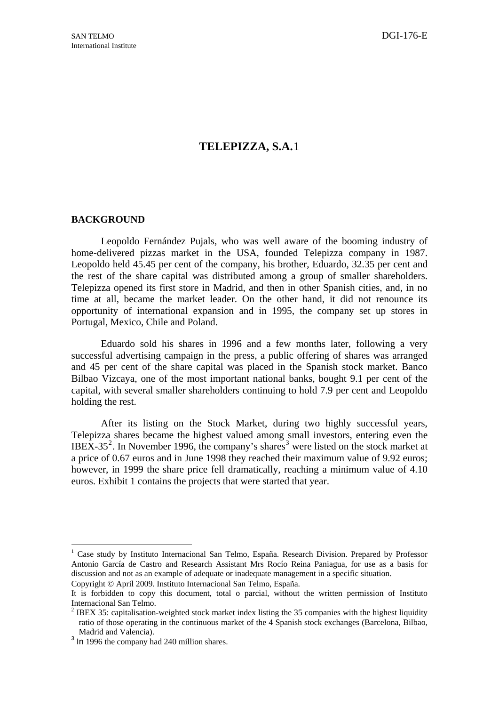# **TELEPIZZA, S.A.**[1](#page-2-0)

## **BACKGROUND**

Leopoldo Fernández Pujals, who was well aware of the booming industry of home-delivered pizzas market in the USA, founded Telepizza company in 1987. Leopoldo held 45.45 per cent of the company, his brother, Eduardo, 32.35 per cent and the rest of the share capital was distributed among a group of smaller shareholders. Telepizza opened its first store in Madrid, and then in other Spanish cities, and, in no time at all, became the market leader. On the other hand, it did not renounce its opportunity of international expansion and in 1995, the company set up stores in Portugal, Mexico, Chile and Poland.

Eduardo sold his shares in 1996 and a few months later, following a very successful advertising campaign in the press, a public offering of shares was arranged and 45 per cent of the share capital was placed in the Spanish stock market. Banco Bilbao Vizcaya, one of the most important national banks, bought 9.1 per cent of the capital, with several smaller shareholders continuing to hold 7.9 per cent and Leopoldo holding the rest.

After its listing on the Stock Market, during two highly successful years, Telepizza shares became the highest valued among small investors, entering even the IBEX-35<sup>[2](#page-2-1)</sup>. In November 1996, the company's shares<sup>[3](#page-2-2)</sup> were listed on the stock market at a price of 0.67 euros and in June 1998 they reached their maximum value of 9.92 euros; however, in 1999 the share price fell dramatically, reaching a minimum value of 4.10 euros. Exhibit 1 contains the projects that were started that year.

1

<sup>&</sup>lt;sup>1</sup> Case study by Instituto Internacional San Telmo, España. Research Division. Prepared by Professor Antonio García de Castro and Research Assistant Mrs Rocío Reina Paniagua, for use as a basis for discussion and not as an example of adequate or inadequate management in a specific situation. Copyright © April 2009. Instituto Internacional San Telmo, España.

It is forbidden to copy this document, total o parcial, without the written permission of Instituto Internacional San Telmo.

<sup>&</sup>lt;sup>2</sup> IBEX 35: capitalisation-weighted stock market index listing the 35 companies with the highest liquidity ratio of those operating in the continuous market of the 4 Spanish stock exchanges (Barcelona, Bilbao, Madrid and Valencia).

<span id="page-2-2"></span><span id="page-2-1"></span><span id="page-2-0"></span><sup>&</sup>lt;sup>3</sup> In 1996 the company had 240 million shares.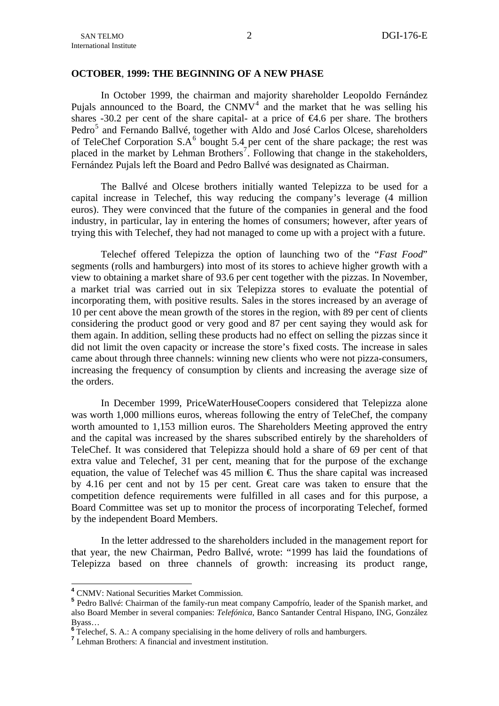## **OCTOBER**, **1999: THE BEGINNING OF A NEW PHASE**

In October 1999, the chairman and majority shareholder Leopoldo Fernández Pujals announced to the Board, the CNMV<sup>[4](#page-3-0)</sup> and the market that he was selling his shares -30.2 per cent of the share capital- at a price of  $\epsilon 4.6$  per share. The brothers Pedro<sup>[5](#page-3-1)</sup> and Fernando Ballvé, together with Aldo and José Carlos Olcese, shareholders of TeleChef Corporation  $S.A^6$  $S.A^6$  bought 5.4 per cent of the share package; the rest was placed in the market by Lehman Brothers<sup>[7](#page-3-3)</sup>. Following that change in the stakeholders, Fernández Pujals left the Board and Pedro Ballvé was designated as Chairman.

The Ballvé and Olcese brothers initially wanted Telepizza to be used for a capital increase in Telechef, this way reducing the company's leverage (4 million euros). They were convinced that the future of the companies in general and the food industry, in particular, lay in entering the homes of consumers; however, after years of trying this with Telechef, they had not managed to come up with a project with a future.

Telechef offered Telepizza the option of launching two of the "*Fast Food*" segments (rolls and hamburgers) into most of its stores to achieve higher growth with a view to obtaining a market share of 93.6 per cent together with the pizzas. In November, a market trial was carried out in six Telepizza stores to evaluate the potential of incorporating them, with positive results. Sales in the stores increased by an average of 10 per cent above the mean growth of the stores in the region, with 89 per cent of clients considering the product good or very good and 87 per cent saying they would ask for them again. In addition, selling these products had no effect on selling the pizzas since it did not limit the oven capacity or increase the store's fixed costs. The increase in sales came about through three channels: winning new clients who were not pizza-consumers, increasing the frequency of consumption by clients and increasing the average size of the orders.

In December 1999, PriceWaterHouseCoopers considered that Telepizza alone was worth 1,000 millions euros, whereas following the entry of TeleChef, the company worth amounted to 1,153 million euros. The Shareholders Meeting approved the entry and the capital was increased by the shares subscribed entirely by the shareholders of TeleChef. It was considered that Telepizza should hold a share of 69 per cent of that extra value and Telechef, 31 per cent, meaning that for the purpose of the exchange equation, the value of Telechef was 45 million  $\epsilon$  Thus the share capital was increased by 4.16 per cent and not by 15 per cent. Great care was taken to ensure that the competition defence requirements were fulfilled in all cases and for this purpose, a Board Committee was set up to monitor the process of incorporating Telechef, formed by the independent Board Members.

In the letter addressed to the shareholders included in the management report for that year, the new Chairman, Pedro Ballvé, wrote: "1999 has laid the foundations of Telepizza based on three channels of growth: increasing its product range,

<u>.</u>

**<sup>4</sup>** CNMV: National Securities Market Commission.

<span id="page-3-1"></span><span id="page-3-0"></span>**<sup>5</sup>** Pedro Ballvé: Chairman of the family-run meat company Campofrío, leader of the Spanish market, and also Board Member in several companies: *Telefónica*, Banco Santander Central Hispano, ING, González Byass… **<sup>6</sup>**

<span id="page-3-2"></span><sup>&</sup>lt;sup>6</sup> Telechef, S. A.: A company specialising in the home delivery of rolls and hamburgers.

<span id="page-3-3"></span>**<sup>7</sup>** Lehman Brothers: A financial and investment institution.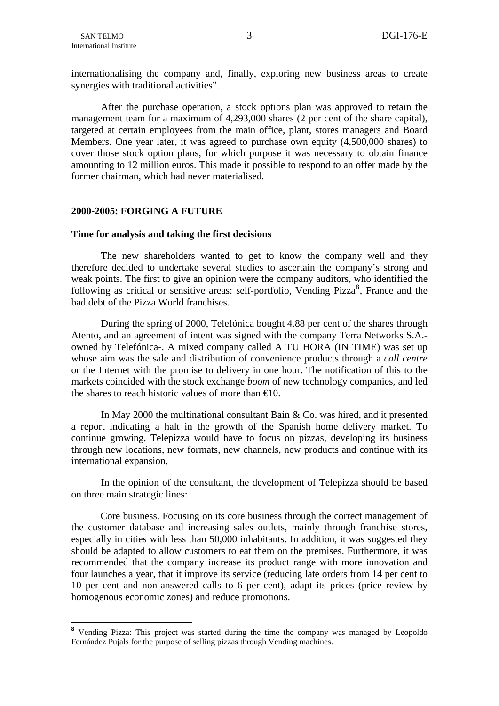<u>.</u>

internationalising the company and, finally, exploring new business areas to create synergies with traditional activities".

After the purchase operation, a stock options plan was approved to retain the management team for a maximum of 4,293,000 shares (2 per cent of the share capital), targeted at certain employees from the main office, plant, stores managers and Board Members. One year later, it was agreed to purchase own equity (4,500,000 shares) to cover those stock option plans, for which purpose it was necessary to obtain finance amounting to 12 million euros. This made it possible to respond to an offer made by the former chairman, which had never materialised.

## **2000-2005: FORGING A FUTURE**

## **Time for analysis and taking the first decisions**

The new shareholders wanted to get to know the company well and they therefore decided to undertake several studies to ascertain the company's strong and weak points. The first to give an opinion were the company auditors, who identified the following as critical or sensitive areas: self-portfolio, Vending Pizza<sup>[8](#page-4-0)</sup>, France and the bad debt of the Pizza World franchises.

During the spring of 2000, Telefónica bought 4.88 per cent of the shares through Atento, and an agreement of intent was signed with the company Terra Networks S.A. owned by Telefónica-. A mixed company called A TU HORA (IN TIME) was set up whose aim was the sale and distribution of convenience products through a *call centre* or the Internet with the promise to delivery in one hour. The notification of this to the markets coincided with the stock exchange *boom* of new technology companies, and led the shares to reach historic values of more than  $\epsilon 0$ .

In May 2000 the multinational consultant Bain & Co. was hired, and it presented a report indicating a halt in the growth of the Spanish home delivery market. To continue growing, Telepizza would have to focus on pizzas, developing its business through new locations, new formats, new channels, new products and continue with its international expansion.

In the opinion of the consultant, the development of Telepizza should be based on three main strategic lines:

Core business. Focusing on its core business through the correct management of the customer database and increasing sales outlets, mainly through franchise stores, especially in cities with less than 50,000 inhabitants. In addition, it was suggested they should be adapted to allow customers to eat them on the premises. Furthermore, it was recommended that the company increase its product range with more innovation and four launches a year, that it improve its service (reducing late orders from 14 per cent to 10 per cent and non-answered calls to 6 per cent), adapt its prices (price review by homogenous economic zones) and reduce promotions.

<span id="page-4-0"></span><sup>&</sup>lt;sup>8</sup> Vending Pizza: This project was started during the time the company was managed by Leopoldo Fernández Pujals for the purpose of selling pizzas through Vending machines.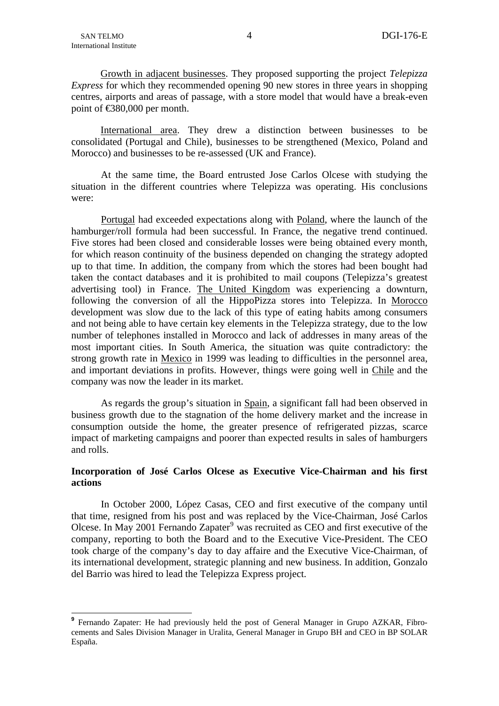1

Growth in adjacent businesses. They proposed supporting the project *Telepizza Express* for which they recommended opening 90 new stores in three years in shopping centres, airports and areas of passage, with a store model that would have a break-even point of €380,000 per month.

International area. They drew a distinction between businesses to be consolidated (Portugal and Chile), businesses to be strengthened (Mexico, Poland and Morocco) and businesses to be re-assessed (UK and France).

At the same time, the Board entrusted Jose Carlos Olcese with studying the situation in the different countries where Telepizza was operating. His conclusions were:

Portugal had exceeded expectations along with Poland, where the launch of the hamburger/roll formula had been successful. In France, the negative trend continued. Five stores had been closed and considerable losses were being obtained every month, for which reason continuity of the business depended on changing the strategy adopted up to that time. In addition, the company from which the stores had been bought had taken the contact databases and it is prohibited to mail coupons (Telepizza's greatest advertising tool) in France. The United Kingdom was experiencing a downturn, following the conversion of all the HippoPizza stores into Telepizza. In Morocco development was slow due to the lack of this type of eating habits among consumers and not being able to have certain key elements in the Telepizza strategy, due to the low number of telephones installed in Morocco and lack of addresses in many areas of the most important cities. In South America, the situation was quite contradictory: the strong growth rate in Mexico in 1999 was leading to difficulties in the personnel area, and important deviations in profits. However, things were going well in Chile and the company was now the leader in its market.

As regards the group's situation in Spain, a significant fall had been observed in business growth due to the stagnation of the home delivery market and the increase in consumption outside the home, the greater presence of refrigerated pizzas, scarce impact of marketing campaigns and poorer than expected results in sales of hamburgers and rolls.

## **Incorporation of José Carlos Olcese as Executive Vice-Chairman and his first actions**

In October 2000, López Casas, CEO and first executive of the company until that time, resigned from his post and was replaced by the Vice-Chairman, José Carlos Olcese. In May 2001 Fernando Zapater<sup>[9](#page-5-0)</sup> was recruited as CEO and first executive of the company, reporting to both the Board and to the Executive Vice-President. The CEO took charge of the company's day to day affaire and the Executive Vice-Chairman, of its international development, strategic planning and new business. In addition, Gonzalo del Barrio was hired to lead the Telepizza Express project.

<span id="page-5-0"></span><sup>&</sup>lt;sup>9</sup> Fernando Zapater: He had previously held the post of General Manager in Grupo AZKAR, Fibrocements and Sales Division Manager in Uralita, General Manager in Grupo BH and CEO in BP SOLAR España.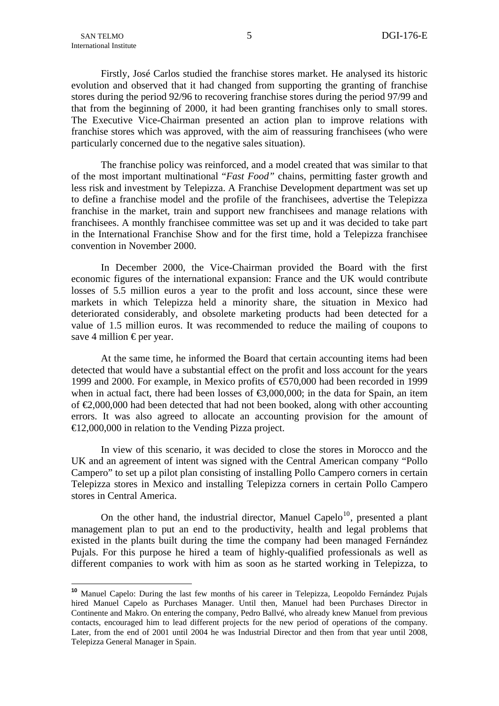1

<span id="page-6-0"></span>Firstly, José Carlos studied the franchise stores market. He analysed its historic evolution and observed that it had changed from supporting the granting of franchise stores during the period 92/96 to recovering franchise stores during the period 97/99 and that from the beginning of 2000, it had been granting franchises only to small stores. The Executive Vice-Chairman presented an action plan to improve relations with franchise stores which was approved, with the aim of reassuring franchisees (who were particularly concerned due to the negative sales situation).

The franchise policy was reinforced, and a model created that was similar to that of the most important multinational "*Fast Food"* chains, permitting faster growth and less risk and investment by Telepizza. A Franchise Development department was set up to define a franchise model and the profile of the franchisees, advertise the Telepizza franchise in the market, train and support new franchisees and manage relations with franchisees. A monthly franchisee committee was set up and it was decided to take part in the International Franchise Show and for the first time, hold a Telepizza franchisee convention in November 2000.

In December 2000, the Vice-Chairman provided the Board with the first economic figures of the international expansion: France and the UK would contribute losses of 5.5 million euros a year to the profit and loss account, since these were markets in which Telepizza held a minority share, the situation in Mexico had deteriorated considerably, and obsolete marketing products had been detected for a value of 1.5 million euros. It was recommended to reduce the mailing of coupons to save 4 million  $\epsilon$  per year.

At the same time, he informed the Board that certain accounting items had been detected that would have a substantial effect on the profit and loss account for the years 1999 and 2000. For example, in Mexico profits of €570,000 had been recorded in 1999 when in actual fact, there had been losses of  $\epsilon$ 3,000,000; in the data for Spain, an item of  $\epsilon$ 2,000,000 had been detected that had not been booked, along with other accounting errors. It was also agreed to allocate an accounting provision for the amount of €12,000,000 in relation to the Vending Pizza project.

In view of this scenario, it was decided to close the stores in Morocco and the UK and an agreement of intent was signed with the Central American company "Pollo Campero" to set up a pilot plan consisting of installing Pollo Campero corners in certain Telepizza stores in Mexico and installing Telepizza corners in certain Pollo Campero stores in Central America.

On the other hand, the industrial director, Manuel Capelo<sup>[10](#page-6-0)</sup>, presented a plant management plan to put an end to the productivity, health and legal problems that existed in the plants built during the time the company had been managed Fernández Pujals. For this purpose he hired a team of highly-qualified professionals as well as different companies to work with him as soon as he started working in Telepizza, to

<sup>&</sup>lt;sup>10</sup> Manuel Capelo: During the last few months of his career in Telepizza, Leopoldo Fernández Pujals hired Manuel Capelo as Purchases Manager. Until then, Manuel had been Purchases Director in Continente and Makro. On entering the company, Pedro Ballvé, who already knew Manuel from previous contacts, encouraged him to lead different projects for the new period of operations of the company. Later, from the end of 2001 until 2004 he was Industrial Director and then from that year until 2008, Telepizza General Manager in Spain.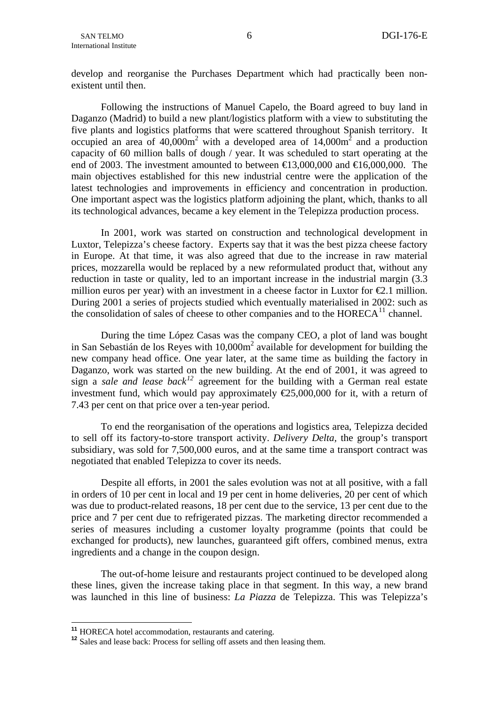<span id="page-7-0"></span>develop and reorganise the Purchases Department which had practically been nonexistent until then.

Following the instructions of Manuel Capelo, the Board agreed to buy land in Daganzo (Madrid) to build a new plant/logistics platform with a view to substituting the five plants and logistics platforms that were scattered throughout Spanish territory. It occupied an area of  $40,000m^2$  with a developed area of  $14,000m^2$  and a production capacity of 60 million balls of dough / year. It was scheduled to start operating at the end of 2003. The investment amounted to between  $\text{ } \in \text{ } 3.000,000$  and  $\text{ } \in \text{ } 6.000,000$ . The main objectives established for this new industrial centre were the application of the latest technologies and improvements in efficiency and concentration in production. One important aspect was the logistics platform adjoining the plant, which, thanks to all its technological advances, became a key element in the Telepizza production process.

In 2001, work was started on construction and technological development in Luxtor, Telepizza's cheese factory. Experts say that it was the best pizza cheese factory in Europe. At that time, it was also agreed that due to the increase in raw material prices, mozzarella would be replaced by a new reformulated product that, without any reduction in taste or quality, led to an important increase in the industrial margin (3.3 million euros per year) with an investment in a cheese factor in Luxtor for  $\epsilon 2.1$  million. During 2001 a series of projects studied which eventually materialised in 2002: such as the consolidation of sales of cheese to other companies and to the  $HORECA<sup>11</sup>$  $HORECA<sup>11</sup>$  $HORECA<sup>11</sup>$  channel.

During the time López Casas was the company CEO, a plot of land was bought in San Sebastián de los Reyes with 10,000m<sup>2</sup> available for development for building the new company head office. One year later, at the same time as building the factory in Daganzo, work was started on the new building. At the end of 2001, it was agreed to sign a *sale and lease back[12](#page-7-0)* agreement for the building with a German real estate investment fund, which would pay approximately  $E$ 5,000,000 for it, with a return of 7.43 per cent on that price over a ten-year period.

To end the reorganisation of the operations and logistics area, Telepizza decided to sell off its factory-to-store transport activity. *Delivery Delta,* the group's transport subsidiary, was sold for 7,500,000 euros, and at the same time a transport contract was negotiated that enabled Telepizza to cover its needs.

Despite all efforts, in 2001 the sales evolution was not at all positive, with a fall in orders of 10 per cent in local and 19 per cent in home deliveries, 20 per cent of which was due to product-related reasons, 18 per cent due to the service, 13 per cent due to the price and 7 per cent due to refrigerated pizzas. The marketing director recommended a series of measures including a customer loyalty programme (points that could be exchanged for products), new launches, guaranteed gift offers, combined menus, extra ingredients and a change in the coupon design.

The out-of-home leisure and restaurants project continued to be developed along these lines, given the increase taking place in that segment. In this way, a new brand was launched in this line of business: *La Piazza* de Telepizza. This was Telepizza's

<sup>&</sup>lt;sup>11</sup> HORECA hotel accommodation, restaurants and catering.

<sup>&</sup>lt;sup>12</sup> Sales and lease back: Process for selling off assets and then leasing them.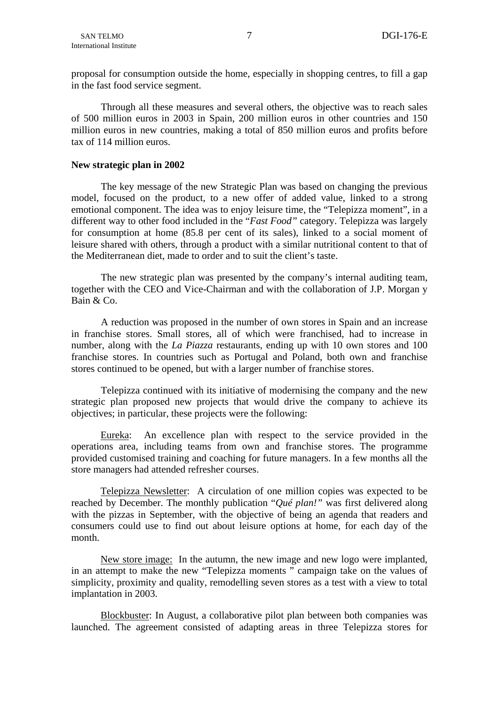proposal for consumption outside the home, especially in shopping centres, to fill a gap in the fast food service segment.

Through all these measures and several others, the objective was to reach sales of 500 million euros in 2003 in Spain, 200 million euros in other countries and 150 million euros in new countries, making a total of 850 million euros and profits before tax of 114 million euros.

## **New strategic plan in 2002**

The key message of the new Strategic Plan was based on changing the previous model, focused on the product, to a new offer of added value, linked to a strong emotional component. The idea was to enjoy leisure time, the "Telepizza moment", in a different way to other food included in the "*Fast Food"* category. Telepizza was largely for consumption at home (85.8 per cent of its sales), linked to a social moment of leisure shared with others, through a product with a similar nutritional content to that of the Mediterranean diet, made to order and to suit the client's taste.

The new strategic plan was presented by the company's internal auditing team, together with the CEO and Vice-Chairman and with the collaboration of J.P. Morgan y Bain & Co.

A reduction was proposed in the number of own stores in Spain and an increase in franchise stores. Small stores, all of which were franchised, had to increase in number, along with the *La Piazza* restaurants, ending up with 10 own stores and 100 franchise stores. In countries such as Portugal and Poland, both own and franchise stores continued to be opened, but with a larger number of franchise stores.

Telepizza continued with its initiative of modernising the company and the new strategic plan proposed new projects that would drive the company to achieve its objectives; in particular, these projects were the following:

Eureka: An excellence plan with respect to the service provided in the operations area, including teams from own and franchise stores. The programme provided customised training and coaching for future managers. In a few months all the store managers had attended refresher courses.

Telepizza Newsletter: A circulation of one million copies was expected to be reached by December. The monthly publication "*Qué plan!"* was first delivered along with the pizzas in September, with the objective of being an agenda that readers and consumers could use to find out about leisure options at home, for each day of the month.

New store image: In the autumn, the new image and new logo were implanted, in an attempt to make the new "Telepizza moments " campaign take on the values of simplicity, proximity and quality, remodelling seven stores as a test with a view to total implantation in 2003.

Blockbuster: In August, a collaborative pilot plan between both companies was launched. The agreement consisted of adapting areas in three Telepizza stores for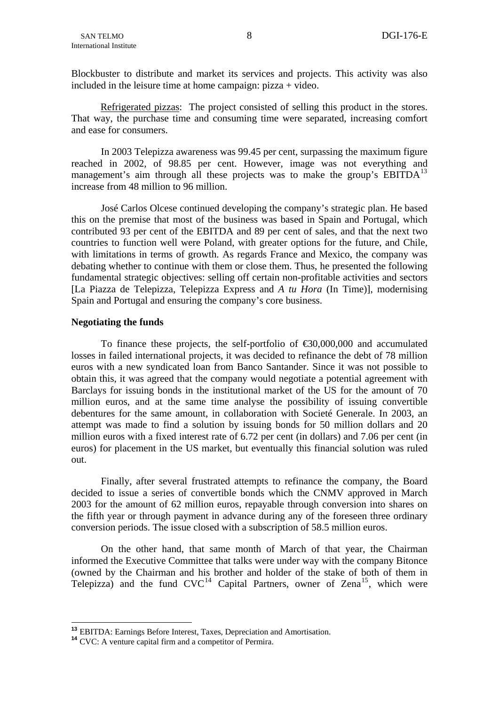<span id="page-9-0"></span>Blockbuster to distribute and market its services and projects. This activity was also included in the leisure time at home campaign: pizza + video.

Refrigerated pizzas: The project consisted of selling this product in the stores. That way, the purchase time and consuming time were separated, increasing comfort and ease for consumers.

In 2003 Telepizza awareness was 99.45 per cent, surpassing the maximum figure reached in 2002, of 98.85 per cent. However, image was not everything and management's aim through all these projects was to make the group's EBITDA<sup>[13](#page-9-0)</sup> increase from 48 million to 96 million.

José Carlos Olcese continued developing the company's strategic plan. He based this on the premise that most of the business was based in Spain and Portugal, which contributed 93 per cent of the EBITDA and 89 per cent of sales, and that the next two countries to function well were Poland, with greater options for the future, and Chile, with limitations in terms of growth. As regards France and Mexico, the company was debating whether to continue with them or close them. Thus, he presented the following fundamental strategic objectives: selling off certain non-profitable activities and sectors [La Piazza de Telepizza, Telepizza Express and *A tu Hora* (In Time)], modernising Spain and Portugal and ensuring the company's core business.

## **Negotiating the funds**

To finance these projects, the self-portfolio of  $\epsilon$ 30,000,000 and accumulated losses in failed international projects, it was decided to refinance the debt of 78 million euros with a new syndicated loan from Banco Santander. Since it was not possible to obtain this, it was agreed that the company would negotiate a potential agreement with Barclays for issuing bonds in the institutional market of the US for the amount of 70 million euros, and at the same time analyse the possibility of issuing convertible debentures for the same amount, in collaboration with Societé Generale. In 2003, an attempt was made to find a solution by issuing bonds for 50 million dollars and 20 million euros with a fixed interest rate of 6.72 per cent (in dollars) and 7.06 per cent (in euros) for placement in the US market, but eventually this financial solution was ruled out.

Finally, after several frustrated attempts to refinance the company, the Board decided to issue a series of convertible bonds which the CNMV approved in March 2003 for the amount of 62 million euros, repayable through conversion into shares on the fifth year or through payment in advance during any of the foreseen three ordinary conversion periods. The issue closed with a subscription of 58.5 million euros.

On the other hand, that same month of March of that year, the Chairman informed the Executive Committee that talks were under way with the company Bitonce (owned by the Chairman and his brother and holder of the stake of both of them in Telepizza) and the fund  $CVC^{14}$  $CVC^{14}$  $CVC^{14}$  Capital Partners, owner of Zena<sup>[15](#page-9-0)</sup>, which were

<u>.</u>

**<sup>13</sup>** EBITDA: Earnings Before Interest, Taxes, Depreciation and Amortisation. **<sup>14</sup>** CVC: A venture capital firm and a competitor of Permira.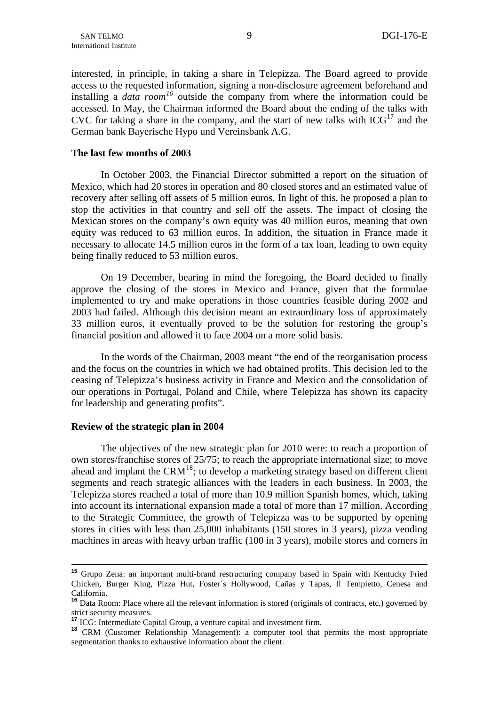<span id="page-10-0"></span>interested, in principle, in taking a share in Telepizza. The Board agreed to provide access to the requested information, signing a non-disclosure agreement beforehand and installing a *data room[16](#page-10-0)* outside the company from where the information could be accessed. In May, the Chairman informed the Board about the ending of the talks with CVC for taking a share in the company, and the start of new talks with  $ICG<sup>17</sup>$  $ICG<sup>17</sup>$  $ICG<sup>17</sup>$  and the German bank Bayerische Hypo und Vereinsbank A.G.

## **The last few months of 2003**

In October 2003, the Financial Director submitted a report on the situation of Mexico, which had 20 stores in operation and 80 closed stores and an estimated value of recovery after selling off assets of 5 million euros. In light of this, he proposed a plan to stop the activities in that country and sell off the assets. The impact of closing the Mexican stores on the company's own equity was 40 million euros, meaning that own equity was reduced to 63 million euros. In addition, the situation in France made it necessary to allocate 14.5 million euros in the form of a tax loan, leading to own equity being finally reduced to 53 million euros.

On 19 December, bearing in mind the foregoing, the Board decided to finally approve the closing of the stores in Mexico and France, given that the formulae implemented to try and make operations in those countries feasible during 2002 and 2003 had failed. Although this decision meant an extraordinary loss of approximately 33 million euros, it eventually proved to be the solution for restoring the group's financial position and allowed it to face 2004 on a more solid basis.

In the words of the Chairman, 2003 meant "the end of the reorganisation process and the focus on the countries in which we had obtained profits. This decision led to the ceasing of Telepizza's business activity in France and Mexico and the consolidation of our operations in Portugal, Poland and Chile, where Telepizza has shown its capacity for leadership and generating profits".

## **Review of the strategic plan in 2004**

The objectives of the new strategic plan for 2010 were: to reach a proportion of own stores/franchise stores of 25/75; to reach the appropriate international size; to move ahead and implant the CRM<sup>[18](#page-10-0)</sup>; to develop a marketing strategy based on different client segments and reach strategic alliances with the leaders in each business. In 2003, the Telepizza stores reached a total of more than 10.9 million Spanish homes, which, taking into account its international expansion made a total of more than 17 million. According to the Strategic Committee, the growth of Telepizza was to be supported by opening stores in cities with less than 25,000 inhabitants (150 stores in 3 years), pizza vending machines in areas with heavy urban traffic (100 in 3 years), mobile stores and corners in

**<sup>15</sup>** Grupo Zena: an important multi-brand restructuring company based in Spain with Kentucky Fried Chicken, Burger King, Pizza Hut, Foster´s Hollywood, Cañas y Tapas, Il Tempietto, Cenesa and California.

<sup>&</sup>lt;sup>16</sup> Data Room: Place where all the relevant information is stored (originals of contracts, etc.) governed by strict security measures.<br>
<sup>17</sup> ICG: Intermediate Capital Group, a venture capital and investment firm.

**<sup>18</sup>** CRM (Customer Relationship Management): a computer tool that permits the most appropriate segmentation thanks to exhaustive information about the client.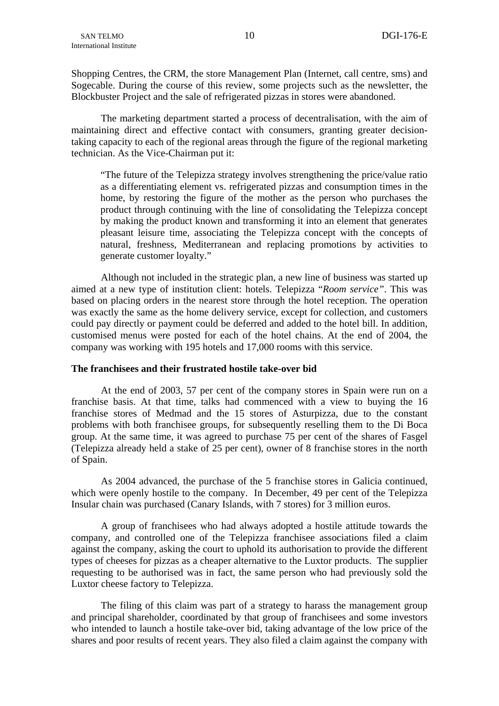Shopping Centres, the CRM, the store Management Plan (Internet, call centre, sms) and Sogecable. During the course of this review, some projects such as the newsletter, the Blockbuster Project and the sale of refrigerated pizzas in stores were abandoned.

The marketing department started a process of decentralisation, with the aim of maintaining direct and effective contact with consumers, granting greater decisiontaking capacity to each of the regional areas through the figure of the regional marketing technician. As the Vice-Chairman put it:

"The future of the Telepizza strategy involves strengthening the price/value ratio as a differentiating element vs. refrigerated pizzas and consumption times in the home, by restoring the figure of the mother as the person who purchases the product through continuing with the line of consolidating the Telepizza concept by making the product known and transforming it into an element that generates pleasant leisure time, associating the Telepizza concept with the concepts of natural, freshness, Mediterranean and replacing promotions by activities to generate customer loyalty."

Although not included in the strategic plan, a new line of business was started up aimed at a new type of institution client: hotels. Telepizza "*Room service"*. This was based on placing orders in the nearest store through the hotel reception. The operation was exactly the same as the home delivery service, except for collection, and customers could pay directly or payment could be deferred and added to the hotel bill. In addition, customised menus were posted for each of the hotel chains. At the end of 2004, the company was working with 195 hotels and 17,000 rooms with this service.

## **The franchisees and their frustrated hostile take-over bid**

At the end of 2003, 57 per cent of the company stores in Spain were run on a franchise basis. At that time, talks had commenced with a view to buying the 16 franchise stores of Medmad and the 15 stores of Asturpizza, due to the constant problems with both franchisee groups, for subsequently reselling them to the Di Boca group. At the same time, it was agreed to purchase 75 per cent of the shares of Fasgel (Telepizza already held a stake of 25 per cent), owner of 8 franchise stores in the north of Spain.

As 2004 advanced, the purchase of the 5 franchise stores in Galicia continued, which were openly hostile to the company. In December, 49 per cent of the Telepizza Insular chain was purchased (Canary Islands, with 7 stores) for 3 million euros.

A group of franchisees who had always adopted a hostile attitude towards the company, and controlled one of the Telepizza franchisee associations filed a claim against the company, asking the court to uphold its authorisation to provide the different types of cheeses for pizzas as a cheaper alternative to the Luxtor products. The supplier requesting to be authorised was in fact, the same person who had previously sold the Luxtor cheese factory to Telepizza.

The filing of this claim was part of a strategy to harass the management group and principal shareholder, coordinated by that group of franchisees and some investors who intended to launch a hostile take-over bid, taking advantage of the low price of the shares and poor results of recent years. They also filed a claim against the company with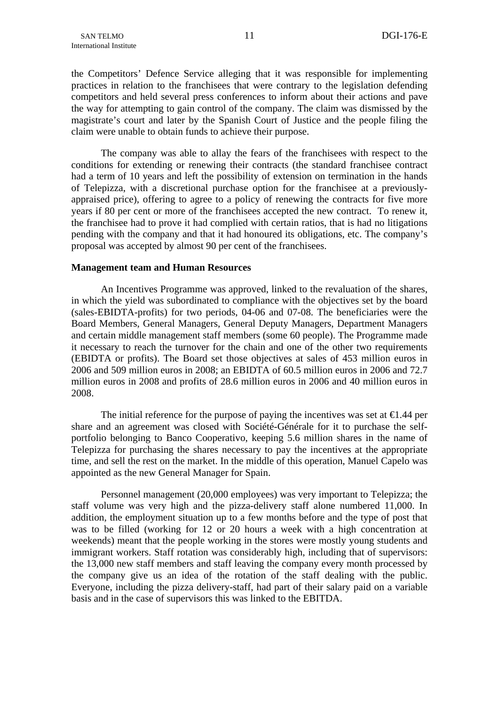the Competitors' Defence Service alleging that it was responsible for implementing practices in relation to the franchisees that were contrary to the legislation defending competitors and held several press conferences to inform about their actions and pave the way for attempting to gain control of the company. The claim was dismissed by the magistrate's court and later by the Spanish Court of Justice and the people filing the claim were unable to obtain funds to achieve their purpose.

The company was able to allay the fears of the franchisees with respect to the conditions for extending or renewing their contracts (the standard franchisee contract had a term of 10 years and left the possibility of extension on termination in the hands of Telepizza, with a discretional purchase option for the franchisee at a previouslyappraised price), offering to agree to a policy of renewing the contracts for five more years if 80 per cent or more of the franchisees accepted the new contract. To renew it, the franchisee had to prove it had complied with certain ratios, that is had no litigations pending with the company and that it had honoured its obligations, etc. The company's proposal was accepted by almost 90 per cent of the franchisees.

## **Management team and Human Resources**

An Incentives Programme was approved, linked to the revaluation of the shares, in which the yield was subordinated to compliance with the objectives set by the board (sales-EBIDTA-profits) for two periods, 04-06 and 07-08. The beneficiaries were the Board Members, General Managers, General Deputy Managers, Department Managers and certain middle management staff members (some 60 people). The Programme made it necessary to reach the turnover for the chain and one of the other two requirements (EBIDTA or profits). The Board set those objectives at sales of 453 million euros in 2006 and 509 million euros in 2008; an EBIDTA of 60.5 million euros in 2006 and 72.7 million euros in 2008 and profits of 28.6 million euros in 2006 and 40 million euros in 2008.

The initial reference for the purpose of paying the incentives was set at  $\epsilon 1.44$  per share and an agreement was closed with Société-Générale for it to purchase the selfportfolio belonging to Banco Cooperativo, keeping 5.6 million shares in the name of Telepizza for purchasing the shares necessary to pay the incentives at the appropriate time, and sell the rest on the market. In the middle of this operation, Manuel Capelo was appointed as the new General Manager for Spain.

Personnel management (20,000 employees) was very important to Telepizza; the staff volume was very high and the pizza-delivery staff alone numbered 11,000. In addition, the employment situation up to a few months before and the type of post that was to be filled (working for 12 or 20 hours a week with a high concentration at weekends) meant that the people working in the stores were mostly young students and immigrant workers. Staff rotation was considerably high, including that of supervisors: the 13,000 new staff members and staff leaving the company every month processed by the company give us an idea of the rotation of the staff dealing with the public. Everyone, including the pizza delivery-staff, had part of their salary paid on a variable basis and in the case of supervisors this was linked to the EBITDA.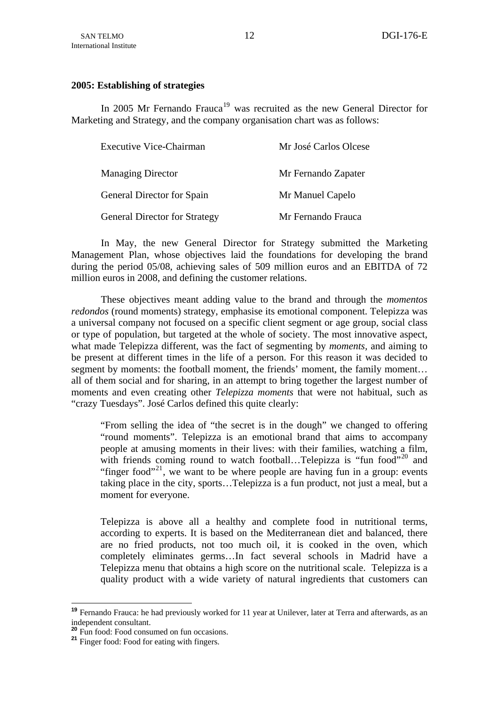## <span id="page-13-0"></span>**2005: Establishing of strategies**

In 2005 Mr Fernando Frauca<sup>[19](#page-13-0)</sup> was recruited as the new General Director for Marketing and Strategy, and the company organisation chart was as follows:

| Executive Vice-Chairman              | Mr José Carlos Olcese |
|--------------------------------------|-----------------------|
| <b>Managing Director</b>             | Mr Fernando Zapater   |
| General Director for Spain           | Mr Manuel Capelo      |
| <b>General Director for Strategy</b> | Mr Fernando Frauca    |

In May, the new General Director for Strategy submitted the Marketing Management Plan, whose objectives laid the foundations for developing the brand during the period 05/08, achieving sales of 509 million euros and an EBITDA of 72 million euros in 2008, and defining the customer relations.

These objectives meant adding value to the brand and through the *momentos redondos* (round moments) strategy, emphasise its emotional component. Telepizza was a universal company not focused on a specific client segment or age group, social class or type of population, but targeted at the whole of society. The most innovative aspect, what made Telepizza different, was the fact of segmenting by *moments,* and aiming to be present at different times in the life of a person. For this reason it was decided to segment by moments: the football moment, the friends' moment, the family moment... all of them social and for sharing, in an attempt to bring together the largest number of moments and even creating other *Telepizza moments* that were not habitual, such as "crazy Tuesdays". José Carlos defined this quite clearly:

"From selling the idea of "the secret is in the dough" we changed to offering "round moments". Telepizza is an emotional brand that aims to accompany people at amusing moments in their lives: with their families, watching a film, with friends coming round to watch football...Telepizza is "fun food"<sup>[20](#page-13-0)</sup> and "finger food"<sup>[21](#page-13-0)</sup>, we want to be where people are having fun in a group: events taking place in the city, sports…Telepizza is a fun product, not just a meal, but a moment for everyone.

Telepizza is above all a healthy and complete food in nutritional terms, according to experts. It is based on the Mediterranean diet and balanced, there are no fried products, not too much oil, it is cooked in the oven, which completely eliminates germs…In fact several schools in Madrid have a Telepizza menu that obtains a high score on the nutritional scale. Telepizza is a quality product with a wide variety of natural ingredients that customers can

1

**<sup>19</sup>** Fernando Frauca: he had previously worked for 11 year at Unilever, later at Terra and afterwards, as an independent consultant.

**<sup>20</sup>** Fun food: Food consumed on fun occasions.

**<sup>21</sup>** Finger food: Food for eating with fingers.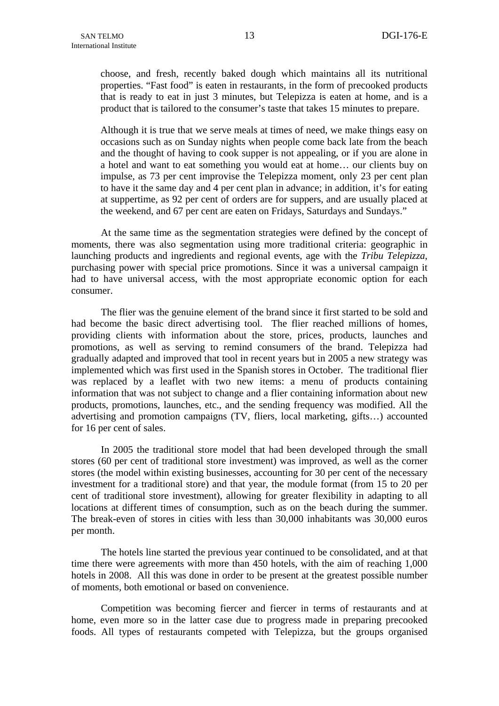choose, and fresh, recently baked dough which maintains all its nutritional properties. "Fast food" is eaten in restaurants, in the form of precooked products that is ready to eat in just 3 minutes, but Telepizza is eaten at home, and is a product that is tailored to the consumer's taste that takes 15 minutes to prepare.

Although it is true that we serve meals at times of need, we make things easy on occasions such as on Sunday nights when people come back late from the beach and the thought of having to cook supper is not appealing, or if you are alone in a hotel and want to eat something you would eat at home… our clients buy on impulse, as 73 per cent improvise the Telepizza moment, only 23 per cent plan to have it the same day and 4 per cent plan in advance; in addition, it's for eating at suppertime, as 92 per cent of orders are for suppers, and are usually placed at the weekend, and 67 per cent are eaten on Fridays, Saturdays and Sundays."

At the same time as the segmentation strategies were defined by the concept of moments, there was also segmentation using more traditional criteria: geographic in launching products and ingredients and regional events, age with the *Tribu Telepizza*, purchasing power with special price promotions. Since it was a universal campaign it had to have universal access, with the most appropriate economic option for each consumer.

The flier was the genuine element of the brand since it first started to be sold and had become the basic direct advertising tool. The flier reached millions of homes, providing clients with information about the store, prices, products, launches and promotions, as well as serving to remind consumers of the brand. Telepizza had gradually adapted and improved that tool in recent years but in 2005 a new strategy was implemented which was first used in the Spanish stores in October. The traditional flier was replaced by a leaflet with two new items: a menu of products containing information that was not subject to change and a flier containing information about new products, promotions, launches, etc., and the sending frequency was modified. All the advertising and promotion campaigns (TV, fliers, local marketing, gifts…) accounted for 16 per cent of sales.

In 2005 the traditional store model that had been developed through the small stores (60 per cent of traditional store investment) was improved, as well as the corner stores (the model within existing businesses, accounting for 30 per cent of the necessary investment for a traditional store) and that year, the module format (from 15 to 20 per cent of traditional store investment), allowing for greater flexibility in adapting to all locations at different times of consumption, such as on the beach during the summer. The break-even of stores in cities with less than 30,000 inhabitants was 30,000 euros per month.

The hotels line started the previous year continued to be consolidated, and at that time there were agreements with more than 450 hotels, with the aim of reaching 1,000 hotels in 2008. All this was done in order to be present at the greatest possible number of moments, both emotional or based on convenience.

Competition was becoming fiercer and fiercer in terms of restaurants and at home, even more so in the latter case due to progress made in preparing precooked foods. All types of restaurants competed with Telepizza, but the groups organised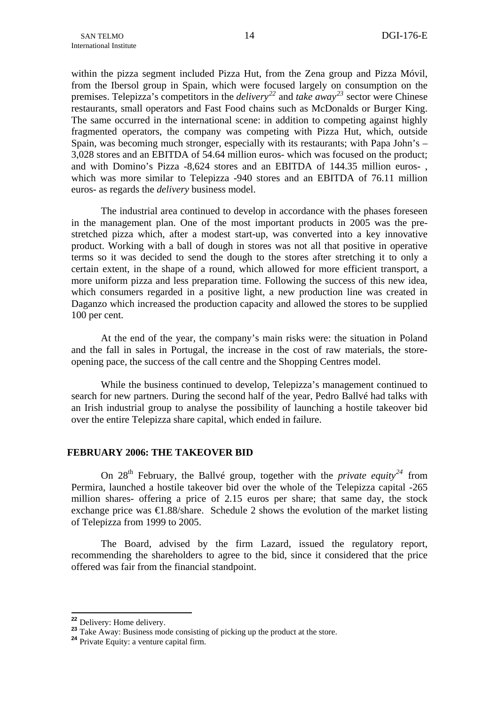<span id="page-15-0"></span>within the pizza segment included Pizza Hut, from the Zena group and Pizza Móvil, from the Ibersol group in Spain, which were focused largely on consumption on the premises. Telepizza's competitors in the *delivery[22](#page-15-0)* and *take away[23](#page-15-0)* sector were Chinese restaurants, small operators and Fast Food chains such as McDonalds or Burger King. The same occurred in the international scene: in addition to competing against highly fragmented operators, the company was competing with Pizza Hut, which, outside Spain, was becoming much stronger, especially with its restaurants; with Papa John's – 3,028 stores and an EBITDA of 54.64 million euros- which was focused on the product; and with Domino's Pizza -8,624 stores and an EBITDA of 144.35 million euros- , which was more similar to Telepizza -940 stores and an EBITDA of 76.11 million euros- as regards the *delivery* business model.

The industrial area continued to develop in accordance with the phases foreseen in the management plan. One of the most important products in 2005 was the prestretched pizza which, after a modest start-up, was converted into a key innovative product. Working with a ball of dough in stores was not all that positive in operative terms so it was decided to send the dough to the stores after stretching it to only a certain extent, in the shape of a round, which allowed for more efficient transport, a more uniform pizza and less preparation time. Following the success of this new idea, which consumers regarded in a positive light, a new production line was created in Daganzo which increased the production capacity and allowed the stores to be supplied 100 per cent.

At the end of the year, the company's main risks were: the situation in Poland and the fall in sales in Portugal, the increase in the cost of raw materials, the storeopening pace, the success of the call centre and the Shopping Centres model.

While the business continued to develop, Telepizza's management continued to search for new partners. During the second half of the year, Pedro Ballvé had talks with an Irish industrial group to analyse the possibility of launching a hostile takeover bid over the entire Telepizza share capital, which ended in failure.

## **FEBRUARY 2006: THE TAKEOVER BID**

On 28<sup>th</sup> February, the Ballvé group, together with the *private equity*<sup>[24](#page-15-0)</sup> from Permira, launched a hostile takeover bid over the whole of the Telepizza capital -265 million shares- offering a price of 2.15 euros per share; that same day, the stock exchange price was  $\bigoplus$ .88/share. Schedule 2 shows the evolution of the market listing of Telepizza from 1999 to 2005.

The Board, advised by the firm Lazard, issued the regulatory report, recommending the shareholders to agree to the bid, since it considered that the price offered was fair from the financial standpoint.

<sup>&</sup>lt;sup>22</sup> Delivery: Home delivery.

<sup>23</sup> Take Away: Business mode consisting of picking up the product at the store.<br><sup>24</sup> Private Equity: a venture capital firm.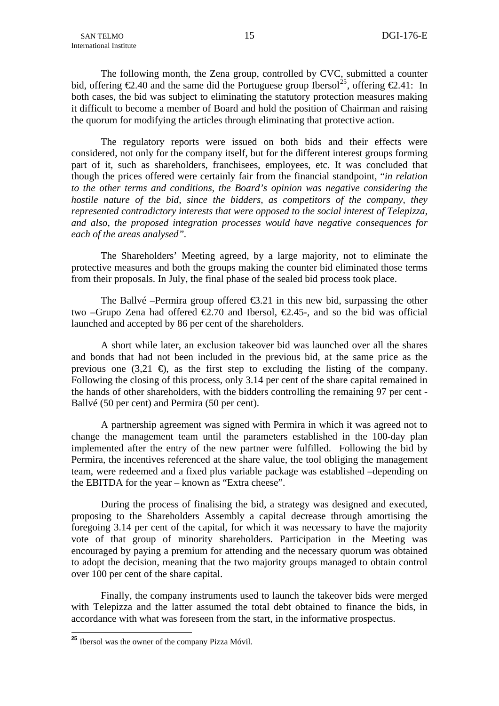<span id="page-16-0"></span>The following month, the Zena group, controlled by CVC, submitted a counter bid, offering  $\epsilon$ 2.40 and the same did the Portuguese group Ibersol<sup>[25](#page-16-0)</sup>, offering  $\epsilon$ 2.41: In both cases, the bid was subject to eliminating the statutory protection measures making it difficult to become a member of Board and hold the position of Chairman and raising the quorum for modifying the articles through eliminating that protective action.

The regulatory reports were issued on both bids and their effects were considered, not only for the company itself, but for the different interest groups forming part of it, such as shareholders, franchisees, employees, etc. It was concluded that though the prices offered were certainly fair from the financial standpoint, "*in relation to the other terms and conditions, the Board's opinion was negative considering the hostile nature of the bid, since the bidders, as competitors of the company, they represented contradictory interests that were opposed to the social interest of Telepizza, and also, the proposed integration processes would have negative consequences for each of the areas analysed".*

The Shareholders' Meeting agreed, by a large majority, not to eliminate the protective measures and both the groups making the counter bid eliminated those terms from their proposals. In July, the final phase of the sealed bid process took place.

The Ballvé –Permira group offered  $\epsilon$ 3.21 in this new bid, surpassing the other two –Grupo Zena had offered  $\epsilon$ 2.70 and Ibersol,  $\epsilon$ 2.45-, and so the bid was official launched and accepted by 86 per cent of the shareholders.

A short while later, an exclusion takeover bid was launched over all the shares and bonds that had not been included in the previous bid, at the same price as the previous one  $(3,21 \Leftrightarrow$ , as the first step to excluding the listing of the company. Following the closing of this process, only 3.14 per cent of the share capital remained in the hands of other shareholders, with the bidders controlling the remaining 97 per cent - Ballvé (50 per cent) and Permira (50 per cent).

A partnership agreement was signed with Permira in which it was agreed not to change the management team until the parameters established in the 100-day plan implemented after the entry of the new partner were fulfilled. Following the bid by Permira, the incentives referenced at the share value, the tool obliging the management team, were redeemed and a fixed plus variable package was established –depending on the EBITDA for the year – known as "Extra cheese".

During the process of finalising the bid, a strategy was designed and executed, proposing to the Shareholders Assembly a capital decrease through amortising the foregoing 3.14 per cent of the capital, for which it was necessary to have the majority vote of that group of minority shareholders. Participation in the Meeting was encouraged by paying a premium for attending and the necessary quorum was obtained to adopt the decision, meaning that the two majority groups managed to obtain control over 100 per cent of the share capital.

Finally, the company instruments used to launch the takeover bids were merged with Telepizza and the latter assumed the total debt obtained to finance the bids, in accordance with what was foreseen from the start, in the informative prospectus.

1

**<sup>25</sup>** Ibersol was the owner of the company Pizza Móvil.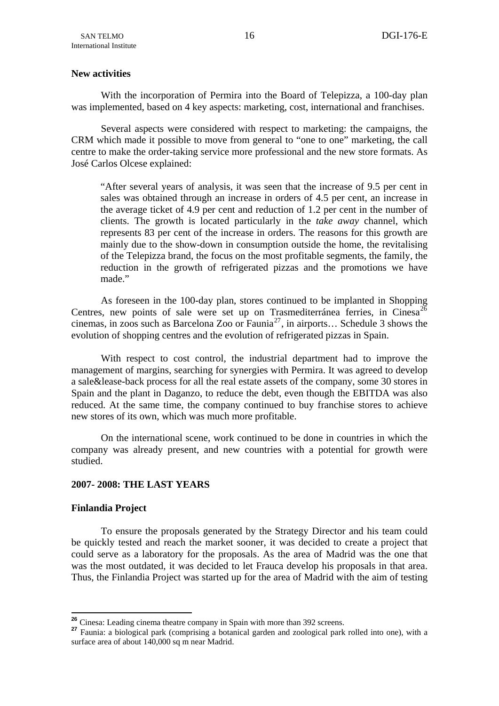## <span id="page-17-0"></span>**New activities**

With the incorporation of Permira into the Board of Telepizza, a 100-day plan was implemented, based on 4 key aspects: marketing, cost, international and franchises.

Several aspects were considered with respect to marketing: the campaigns, the CRM which made it possible to move from general to "one to one" marketing, the call centre to make the order-taking service more professional and the new store formats. As José Carlos Olcese explained:

"After several years of analysis, it was seen that the increase of 9.5 per cent in sales was obtained through an increase in orders of 4.5 per cent, an increase in the average ticket of 4.9 per cent and reduction of 1.2 per cent in the number of clients. The growth is located particularly in the *take away* channel, which represents 83 per cent of the increase in orders. The reasons for this growth are mainly due to the show-down in consumption outside the home, the revitalising of the Telepizza brand, the focus on the most profitable segments, the family, the reduction in the growth of refrigerated pizzas and the promotions we have made."

As foreseen in the 100-day plan, stores continued to be implanted in Shopping Centres, new points of sale were set up on Trasmediterránea ferries, in Cinesa<sup>[26](#page-17-0)</sup> cinemas, in zoos such as Barcelona Zoo or Faunia<sup>[27](#page-17-0)</sup>, in airports... Schedule 3 shows the evolution of shopping centres and the evolution of refrigerated pizzas in Spain.

With respect to cost control, the industrial department had to improve the management of margins, searching for synergies with Permira. It was agreed to develop a sale&lease-back process for all the real estate assets of the company, some 30 stores in Spain and the plant in Daganzo, to reduce the debt, even though the EBITDA was also reduced. At the same time, the company continued to buy franchise stores to achieve new stores of its own, which was much more profitable.

On the international scene, work continued to be done in countries in which the company was already present, and new countries with a potential for growth were studied.

## **2007- 2008: THE LAST YEARS**

## **Finlandia Project**

To ensure the proposals generated by the Strategy Director and his team could be quickly tested and reach the market sooner, it was decided to create a project that could serve as a laboratory for the proposals. As the area of Madrid was the one that was the most outdated, it was decided to let Frauca develop his proposals in that area. Thus, the Finlandia Project was started up for the area of Madrid with the aim of testing

<sup>&</sup>lt;sup>26</sup> Cinesa: Leading cinema theatre company in Spain with more than 392 screens.

<sup>27</sup> Faunia: a biological park (comprising a botanical garden and zoological park rolled into one), with a surface area of about 140,000 sq m near Madrid.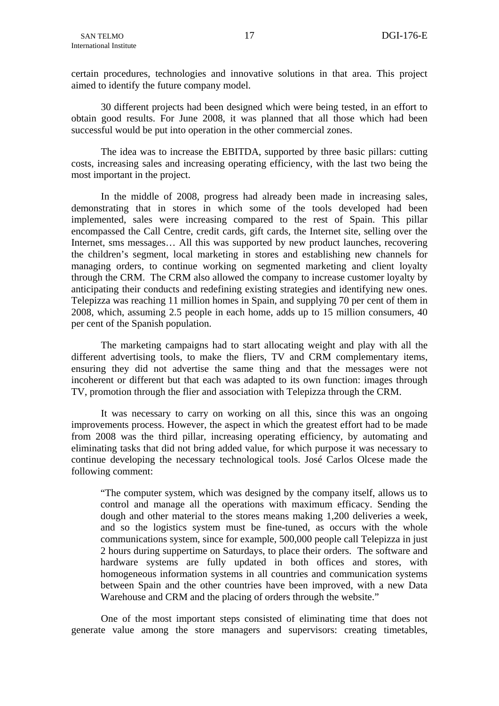certain procedures, technologies and innovative solutions in that area. This project aimed to identify the future company model.

30 different projects had been designed which were being tested, in an effort to obtain good results. For June 2008, it was planned that all those which had been successful would be put into operation in the other commercial zones.

The idea was to increase the EBITDA, supported by three basic pillars: cutting costs, increasing sales and increasing operating efficiency, with the last two being the most important in the project.

In the middle of 2008, progress had already been made in increasing sales, demonstrating that in stores in which some of the tools developed had been implemented, sales were increasing compared to the rest of Spain. This pillar encompassed the Call Centre, credit cards, gift cards, the Internet site, selling over the Internet, sms messages… All this was supported by new product launches, recovering the children's segment, local marketing in stores and establishing new channels for managing orders, to continue working on segmented marketing and client loyalty through the CRM. The CRM also allowed the company to increase customer loyalty by anticipating their conducts and redefining existing strategies and identifying new ones. Telepizza was reaching 11 million homes in Spain, and supplying 70 per cent of them in 2008, which, assuming 2.5 people in each home, adds up to 15 million consumers, 40 per cent of the Spanish population.

The marketing campaigns had to start allocating weight and play with all the different advertising tools, to make the fliers, TV and CRM complementary items, ensuring they did not advertise the same thing and that the messages were not incoherent or different but that each was adapted to its own function: images through TV, promotion through the flier and association with Telepizza through the CRM.

It was necessary to carry on working on all this, since this was an ongoing improvements process. However, the aspect in which the greatest effort had to be made from 2008 was the third pillar, increasing operating efficiency, by automating and eliminating tasks that did not bring added value, for which purpose it was necessary to continue developing the necessary technological tools. José Carlos Olcese made the following comment:

"The computer system, which was designed by the company itself, allows us to control and manage all the operations with maximum efficacy. Sending the dough and other material to the stores means making 1,200 deliveries a week, and so the logistics system must be fine-tuned, as occurs with the whole communications system, since for example, 500,000 people call Telepizza in just 2 hours during suppertime on Saturdays, to place their orders. The software and hardware systems are fully updated in both offices and stores, with homogeneous information systems in all countries and communication systems between Spain and the other countries have been improved, with a new Data Warehouse and CRM and the placing of orders through the website."

One of the most important steps consisted of eliminating time that does not generate value among the store managers and supervisors: creating timetables,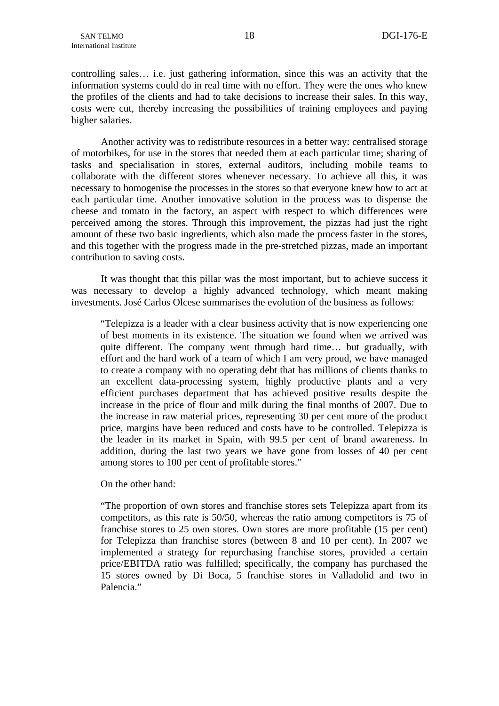controlling sales… i.e. just gathering information, since this was an activity that the information systems could do in real time with no effort. They were the ones who knew the profiles of the clients and had to take decisions to increase their sales. In this way, costs were cut, thereby increasing the possibilities of training employees and paying higher salaries.

Another activity was to redistribute resources in a better way: centralised storage of motorbikes, for use in the stores that needed them at each particular time; sharing of tasks and specialisation in stores, external auditors, including mobile teams to collaborate with the different stores whenever necessary. To achieve all this, it was necessary to homogenise the processes in the stores so that everyone knew how to act at each particular time. Another innovative solution in the process was to dispense the cheese and tomato in the factory, an aspect with respect to which differences were perceived among the stores. Through this improvement, the pizzas had just the right amount of these two basic ingredients, which also made the process faster in the stores, and this together with the progress made in the pre-stretched pizzas, made an important contribution to saving costs.

It was thought that this pillar was the most important, but to achieve success it was necessary to develop a highly advanced technology, which meant making investments. José Carlos Olcese summarises the evolution of the business as follows:

"Telepizza is a leader with a clear business activity that is now experiencing one of best moments in its existence. The situation we found when we arrived was quite different. The company went through hard time… but gradually, with effort and the hard work of a team of which I am very proud, we have managed to create a company with no operating debt that has millions of clients thanks to an excellent data-processing system, highly productive plants and a very efficient purchases department that has achieved positive results despite the increase in the price of flour and milk during the final months of 2007. Due to the increase in raw material prices, representing 30 per cent more of the product price, margins have been reduced and costs have to be controlled. Telepizza is the leader in its market in Spain, with 99.5 per cent of brand awareness. In addition, during the last two years we have gone from losses of 40 per cent among stores to 100 per cent of profitable stores."

On the other hand:

"The proportion of own stores and franchise stores sets Telepizza apart from its competitors, as this rate is 50/50, whereas the ratio among competitors is 75 of franchise stores to 25 own stores. Own stores are more profitable (15 per cent) for Telepizza than franchise stores (between 8 and 10 per cent). In 2007 we implemented a strategy for repurchasing franchise stores, provided a certain price/EBITDA ratio was fulfilled; specifically, the company has purchased the 15 stores owned by Di Boca, 5 franchise stores in Valladolid and two in Palencia."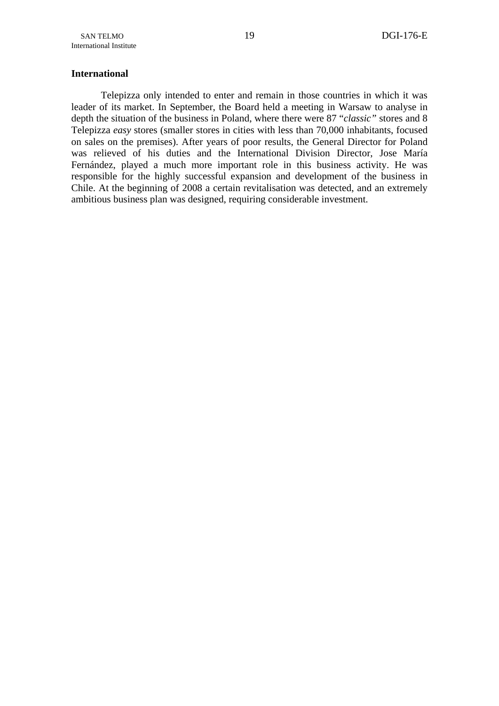## **International**

Telepizza only intended to enter and remain in those countries in which it was leader of its market. In September, the Board held a meeting in Warsaw to analyse in depth the situation of the business in Poland, where there were 87 "*classic"* stores and 8 Telepizza *easy* stores (smaller stores in cities with less than 70,000 inhabitants, focused on sales on the premises). After years of poor results, the General Director for Poland was relieved of his duties and the International Division Director, Jose María Fernández, played a much more important role in this business activity. He was responsible for the highly successful expansion and development of the business in Chile. At the beginning of 2008 a certain revitalisation was detected, and an extremely ambitious business plan was designed, requiring considerable investment.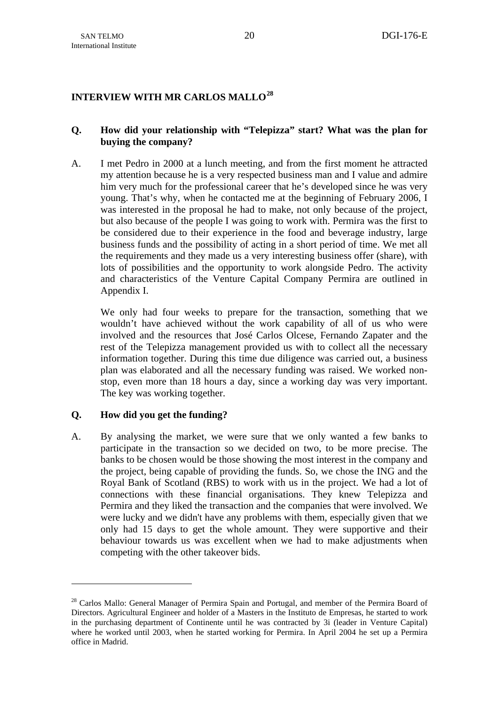# <span id="page-21-0"></span>**INTERVIEW WITH MR CARLOS MALLO[28](#page-21-0)**

# **Q. How did your relationship with "Telepizza" start? What was the plan for buying the company?**

A. I met Pedro in 2000 at a lunch meeting, and from the first moment he attracted my attention because he is a very respected business man and I value and admire him very much for the professional career that he's developed since he was very young. That's why, when he contacted me at the beginning of February 2006, I was interested in the proposal he had to make, not only because of the project, but also because of the people I was going to work with. Permira was the first to be considered due to their experience in the food and beverage industry, large business funds and the possibility of acting in a short period of time. We met all the requirements and they made us a very interesting business offer (share), with lots of possibilities and the opportunity to work alongside Pedro. The activity and characteristics of the Venture Capital Company Permira are outlined in Appendix I.

We only had four weeks to prepare for the transaction, something that we wouldn't have achieved without the work capability of all of us who were involved and the resources that José Carlos Olcese, Fernando Zapater and the rest of the Telepizza management provided us with to collect all the necessary information together. During this time due diligence was carried out, a business plan was elaborated and all the necessary funding was raised. We worked nonstop, even more than 18 hours a day, since a working day was very important. The key was working together.

# **Q. How did you get the funding?**

1

A. By analysing the market, we were sure that we only wanted a few banks to participate in the transaction so we decided on two, to be more precise. The banks to be chosen would be those showing the most interest in the company and the project, being capable of providing the funds. So, we chose the ING and the Royal Bank of Scotland (RBS) to work with us in the project. We had a lot of connections with these financial organisations. They knew Telepizza and Permira and they liked the transaction and the companies that were involved. We were lucky and we didn't have any problems with them, especially given that we only had 15 days to get the whole amount. They were supportive and their behaviour towards us was excellent when we had to make adjustments when competing with the other takeover bids.

<sup>&</sup>lt;sup>28</sup> Carlos Mallo: General Manager of Permira Spain and Portugal, and member of the Permira Board of Directors. Agricultural Engineer and holder of a Masters in the Instituto de Empresas, he started to work in the purchasing department of Continente until he was contracted by 3i (leader in Venture Capital) where he worked until 2003, when he started working for Permira. In April 2004 he set up a Permira office in Madrid.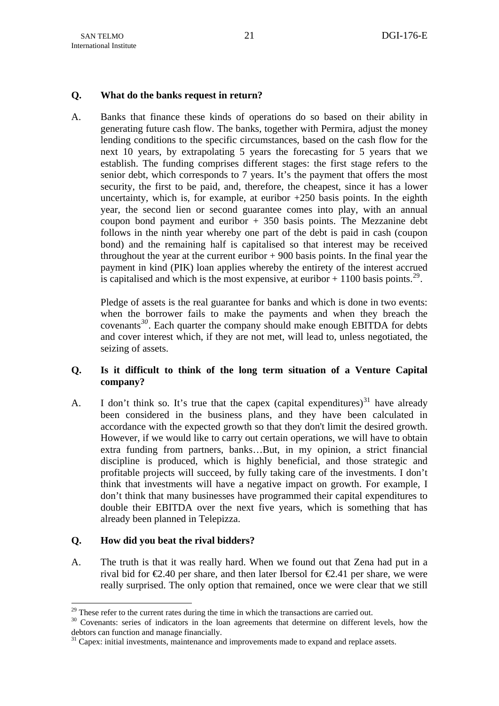## <span id="page-22-0"></span>**Q. What do the banks request in return?**

A. Banks that finance these kinds of operations do so based on their ability in generating future cash flow. The banks, together with Permira, adjust the money lending conditions to the specific circumstances, based on the cash flow for the next 10 years, by extrapolating 5 years the forecasting for 5 years that we establish. The funding comprises different stages: the first stage refers to the senior debt, which corresponds to 7 years. It's the payment that offers the most security, the first to be paid, and, therefore, the cheapest, since it has a lower uncertainty, which is, for example, at euribor  $+250$  basis points. In the eighth year, the second lien or second guarantee comes into play, with an annual coupon bond payment and euribor  $+350$  basis points. The Mezzanine debt follows in the ninth year whereby one part of the debt is paid in cash (coupon bond) and the remaining half is capitalised so that interest may be received throughout the year at the current euribor  $+900$  basis points. In the final year the payment in kind (PIK) loan applies whereby the entirety of the interest accrued is capitalised and which is the most expensive, at euribor  $+1100$  basis points.<sup>[29](#page-22-0)</sup>.

Pledge of assets is the real guarantee for banks and which is done in two events: when the borrower fails to make the payments and when they breach the covenants*[30](#page-22-0)*. Each quarter the company should make enough EBITDA for debts and cover interest which, if they are not met, will lead to, unless negotiated, the seizing of assets.

## **Q. Is it difficult to think of the long term situation of a Venture Capital company?**

A. I don't think so. It's true that the capex (capital expenditures)<sup>[31](#page-22-0)</sup> have already been considered in the business plans, and they have been calculated in accordance with the expected growth so that they don't limit the desired growth. However, if we would like to carry out certain operations, we will have to obtain extra funding from partners, banks…But, in my opinion, a strict financial discipline is produced, which is highly beneficial, and those strategic and profitable projects will succeed, by fully taking care of the investments. I don't think that investments will have a negative impact on growth. For example, I don't think that many businesses have programmed their capital expenditures to double their EBITDA over the next five years, which is something that has already been planned in Telepizza.

# **Q. How did you beat the rival bidders?**

1

A. The truth is that it was really hard. When we found out that Zena had put in a rival bid for  $\epsilon 2.40$  per share, and then later Ibersol for  $\epsilon 2.41$  per share, we were really surprised. The only option that remained, once we were clear that we still

<sup>&</sup>lt;sup>29</sup> These refer to the current rates during the time in which the transactions are carried out.<br><sup>30</sup> Covenants: series of indicators in the loan agreements that determine on different levels, how the debtors can function and manage financially.

<sup>&</sup>lt;sup>31</sup> Capex: initial investments, maintenance and improvements made to expand and replace assets.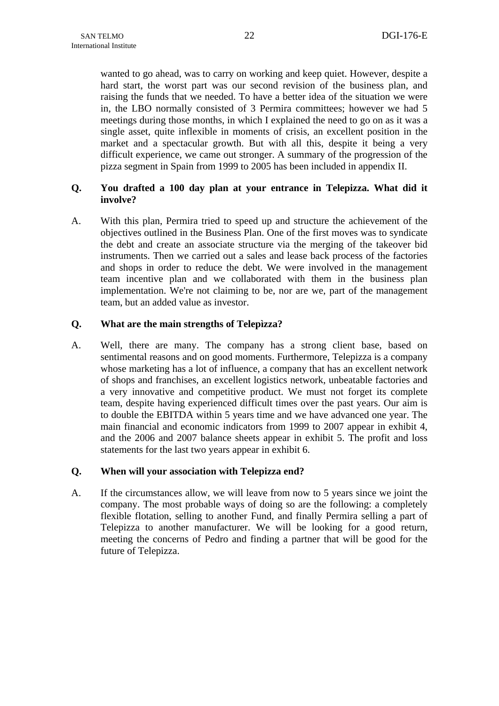wanted to go ahead, was to carry on working and keep quiet. However, despite a hard start, the worst part was our second revision of the business plan, and raising the funds that we needed. To have a better idea of the situation we were in, the LBO normally consisted of 3 Permira committees; however we had 5 meetings during those months, in which I explained the need to go on as it was a single asset, quite inflexible in moments of crisis, an excellent position in the market and a spectacular growth. But with all this, despite it being a very difficult experience, we came out stronger. A summary of the progression of the pizza segment in Spain from 1999 to 2005 has been included in appendix II.

# **Q. You drafted a 100 day plan at your entrance in Telepizza. What did it involve?**

A. With this plan, Permira tried to speed up and structure the achievement of the objectives outlined in the Business Plan. One of the first moves was to syndicate the debt and create an associate structure via the merging of the takeover bid instruments. Then we carried out a sales and lease back process of the factories and shops in order to reduce the debt. We were involved in the management team incentive plan and we collaborated with them in the business plan implementation. We're not claiming to be, nor are we, part of the management team, but an added value as investor.

## **Q. What are the main strengths of Telepìzza?**

A. Well, there are many. The company has a strong client base, based on sentimental reasons and on good moments. Furthermore, Telepizza is a company whose marketing has a lot of influence, a company that has an excellent network of shops and franchises, an excellent logistics network, unbeatable factories and a very innovative and competitive product. We must not forget its complete team, despite having experienced difficult times over the past years. Our aim is to double the EBITDA within 5 years time and we have advanced one year. The main financial and economic indicators from 1999 to 2007 appear in exhibit 4, and the 2006 and 2007 balance sheets appear in exhibit 5. The profit and loss statements for the last two years appear in exhibit 6.

## **Q. When will your association with Telepizza end?**

A. If the circumstances allow, we will leave from now to 5 years since we joint the company. The most probable ways of doing so are the following: a completely flexible flotation, selling to another Fund, and finally Permira selling a part of Telepizza to another manufacturer. We will be looking for a good return, meeting the concerns of Pedro and finding a partner that will be good for the future of Telepizza.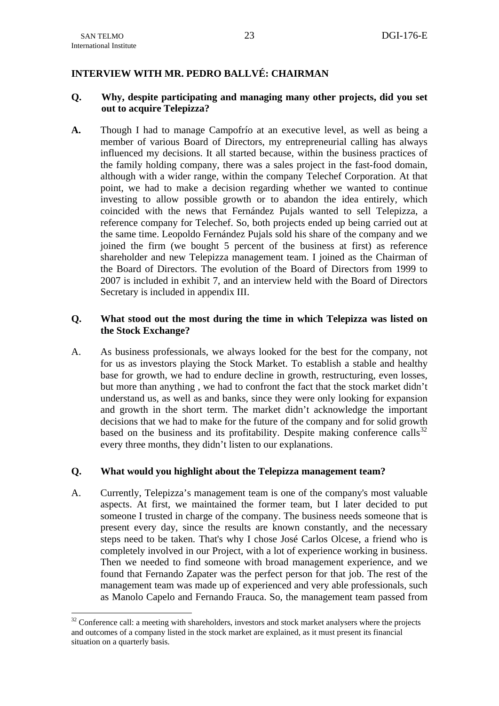1

# <span id="page-24-0"></span>**INTERVIEW WITH MR. PEDRO BALLVÉ: CHAIRMAN**

## **Q. Why, despite participating and managing many other projects, did you set out to acquire Telepizza?**

**A.** Though I had to manage Campofrío at an executive level, as well as being a member of various Board of Directors, my entrepreneurial calling has always influenced my decisions. It all started because, within the business practices of the family holding company, there was a sales project in the fast-food domain, although with a wider range, within the company Telechef Corporation. At that point, we had to make a decision regarding whether we wanted to continue investing to allow possible growth or to abandon the idea entirely, which coincided with the news that Fernández Pujals wanted to sell Telepizza, a reference company for Telechef. So, both projects ended up being carried out at the same time. Leopoldo Fernández Pujals sold his share of the company and we joined the firm (we bought 5 percent of the business at first) as reference shareholder and new Telepizza management team. I joined as the Chairman of the Board of Directors. The evolution of the Board of Directors from 1999 to 2007 is included in exhibit 7, and an interview held with the Board of Directors Secretary is included in appendix III.

## **Q. What stood out the most during the time in which Telepizza was listed on the Stock Exchange?**

A. As business professionals, we always looked for the best for the company, not for us as investors playing the Stock Market. To establish a stable and healthy base for growth, we had to endure decline in growth, restructuring, even losses, but more than anything , we had to confront the fact that the stock market didn't understand us, as well as and banks, since they were only looking for expansion and growth in the short term. The market didn't acknowledge the important decisions that we had to make for the future of the company and for solid growth based on the business and its profitability. Despite making conference calls $^{32}$  $^{32}$  $^{32}$ every three months, they didn't listen to our explanations.

## **Q. What would you highlight about the Telepizza management team?**

A. Currently, Telepizza's management team is one of the company's most valuable aspects. At first, we maintained the former team, but I later decided to put someone I trusted in charge of the company. The business needs someone that is present every day, since the results are known constantly, and the necessary steps need to be taken. That's why I chose José Carlos Olcese, a friend who is completely involved in our Project, with a lot of experience working in business. Then we needed to find someone with broad management experience, and we found that Fernando Zapater was the perfect person for that job. The rest of the management team was made up of experienced and very able professionals, such as Manolo Capelo and Fernando Frauca. So, the management team passed from

<sup>&</sup>lt;sup>32</sup> Conference call: a meeting with shareholders, investors and stock market analysers where the projects and outcomes of a company listed in the stock market are explained, as it must present its financial situation on a quarterly basis.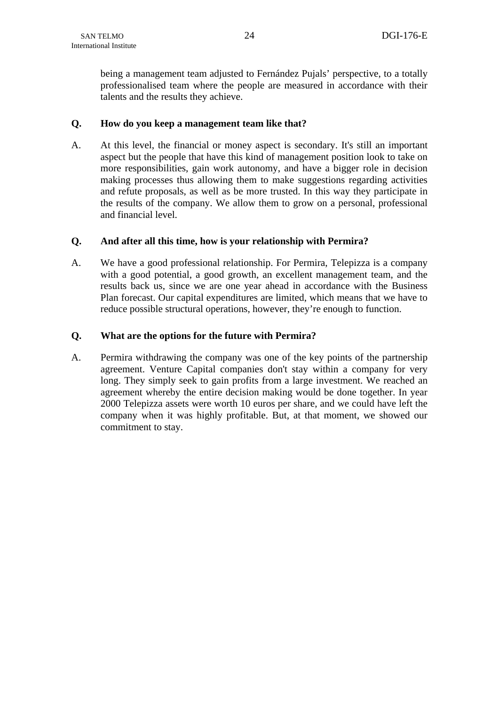being a management team adjusted to Fernández Pujals' perspective, to a totally professionalised team where the people are measured in accordance with their talents and the results they achieve.

## **Q. How do you keep a management team like that?**

A. At this level, the financial or money aspect is secondary. It's still an important aspect but the people that have this kind of management position look to take on more responsibilities, gain work autonomy, and have a bigger role in decision making processes thus allowing them to make suggestions regarding activities and refute proposals, as well as be more trusted. In this way they participate in the results of the company. We allow them to grow on a personal, professional and financial level.

# **Q. And after all this time, how is your relationship with Permira?**

A. We have a good professional relationship. For Permira, Telepizza is a company with a good potential, a good growth, an excellent management team, and the results back us, since we are one year ahead in accordance with the Business Plan forecast. Our capital expenditures are limited, which means that we have to reduce possible structural operations, however, they're enough to function.

## **Q. What are the options for the future with Permira?**

A. Permira withdrawing the company was one of the key points of the partnership agreement. Venture Capital companies don't stay within a company for very long. They simply seek to gain profits from a large investment. We reached an agreement whereby the entire decision making would be done together. In year 2000 Telepizza assets were worth 10 euros per share, and we could have left the company when it was highly profitable. But, at that moment, we showed our commitment to stay.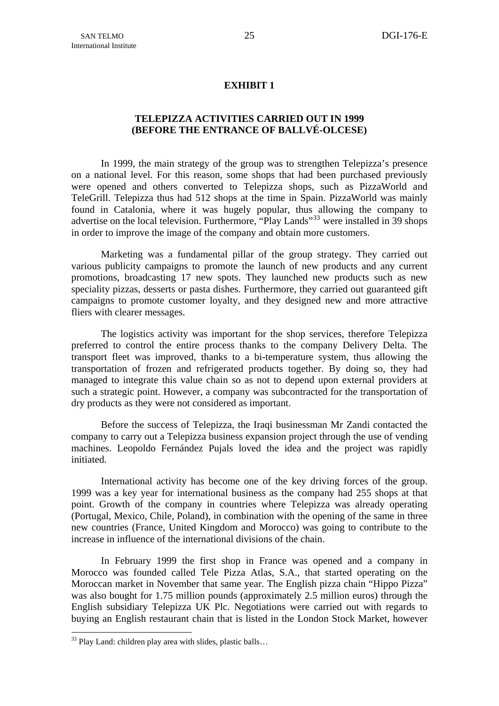## **EXHIBIT 1**

## **TELEPIZZA ACTIVITIES CARRIED OUT IN 1999 (BEFORE THE ENTRANCE OF BALLVÉ-OLCESE)**

<span id="page-26-0"></span>In 1999, the main strategy of the group was to strengthen Telepizza's presence on a national level. For this reason, some shops that had been purchased previously were opened and others converted to Telepizza shops, such as PizzaWorld and TeleGrill. Telepizza thus had 512 shops at the time in Spain. PizzaWorld was mainly found in Catalonia, where it was hugely popular, thus allowing the company to advertise on the local television. Furthermore, "Play Lands"<sup>[33](#page-26-0)</sup> were installed in 39 shops in order to improve the image of the company and obtain more customers.

Marketing was a fundamental pillar of the group strategy. They carried out various publicity campaigns to promote the launch of new products and any current promotions, broadcasting 17 new spots. They launched new products such as new speciality pizzas, desserts or pasta dishes. Furthermore, they carried out guaranteed gift campaigns to promote customer loyalty, and they designed new and more attractive fliers with clearer messages.

The logistics activity was important for the shop services, therefore Telepizza preferred to control the entire process thanks to the company Delivery Delta. The transport fleet was improved, thanks to a bi-temperature system, thus allowing the transportation of frozen and refrigerated products together. By doing so, they had managed to integrate this value chain so as not to depend upon external providers at such a strategic point. However, a company was subcontracted for the transportation of dry products as they were not considered as important.

Before the success of Telepizza, the Iraqi businessman Mr Zandi contacted the company to carry out a Telepizza business expansion project through the use of vending machines. Leopoldo Fernández Pujals loved the idea and the project was rapidly initiated.

International activity has become one of the key driving forces of the group. 1999 was a key year for international business as the company had 255 shops at that point. Growth of the company in countries where Telepizza was already operating (Portugal, Mexico, Chile, Poland), in combination with the opening of the same in three new countries (France, United Kingdom and Morocco) was going to contribute to the increase in influence of the international divisions of the chain.

In February 1999 the first shop in France was opened and a company in Morocco was founded called Tele Pizza Atlas, S.A., that started operating on the Moroccan market in November that same year. The English pizza chain "Hippo Pizza" was also bought for 1.75 million pounds (approximately 2.5 million euros) through the English subsidiary Telepizza UK Plc. Negotiations were carried out with regards to buying an English restaurant chain that is listed in the London Stock Market, however

1

<sup>&</sup>lt;sup>33</sup> Play Land: children play area with slides, plastic balls...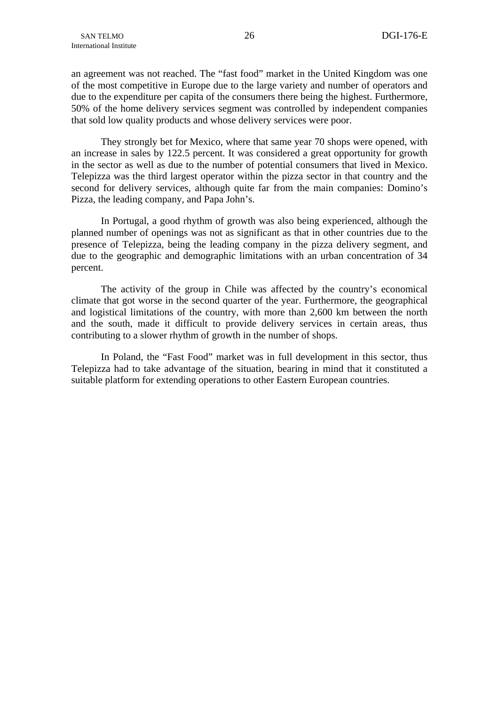an agreement was not reached. The "fast food" market in the United Kingdom was one of the most competitive in Europe due to the large variety and number of operators and due to the expenditure per capita of the consumers there being the highest. Furthermore, 50% of the home delivery services segment was controlled by independent companies that sold low quality products and whose delivery services were poor.

They strongly bet for Mexico, where that same year 70 shops were opened, with an increase in sales by 122.5 percent. It was considered a great opportunity for growth in the sector as well as due to the number of potential consumers that lived in Mexico. Telepizza was the third largest operator within the pizza sector in that country and the second for delivery services, although quite far from the main companies: Domino's Pizza, the leading company, and Papa John's.

In Portugal, a good rhythm of growth was also being experienced, although the planned number of openings was not as significant as that in other countries due to the presence of Telepizza, being the leading company in the pizza delivery segment, and due to the geographic and demographic limitations with an urban concentration of 34 percent.

The activity of the group in Chile was affected by the country's economical climate that got worse in the second quarter of the year. Furthermore, the geographical and logistical limitations of the country, with more than 2,600 km between the north and the south, made it difficult to provide delivery services in certain areas, thus contributing to a slower rhythm of growth in the number of shops.

In Poland, the "Fast Food" market was in full development in this sector, thus Telepizza had to take advantage of the situation, bearing in mind that it constituted a suitable platform for extending operations to other Eastern European countries.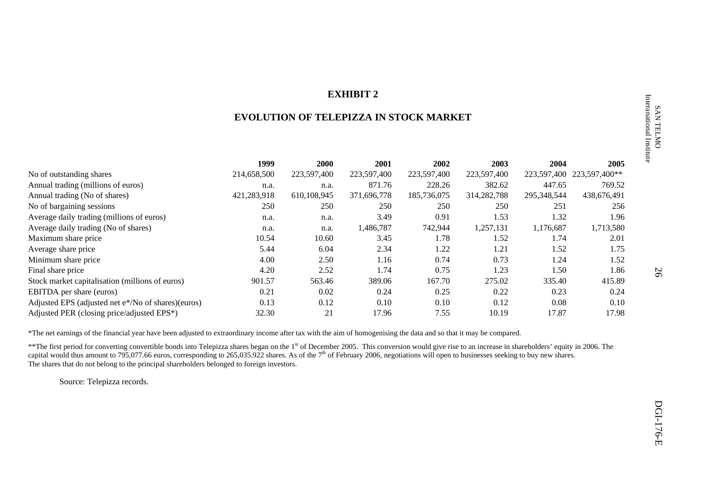## **EXHIBIT 2**

## **EVOLUTION OF TELEPIZZA IN STOCK MARKET**

|                                                    | 1999        | <b>2000</b> | 2001        | 2002        | 2003        | 2004        | 2005          |
|----------------------------------------------------|-------------|-------------|-------------|-------------|-------------|-------------|---------------|
| No of outstanding shares                           | 214,658,500 | 223,597,400 | 223,597,400 | 223,597,400 | 223,597,400 | 223,597,400 | 223,597,400** |
| Annual trading (millions of euros)                 | n.a.        | n.a.        | 871.76      | 228.26      | 382.62      | 447.65      | 769.52        |
| Annual trading (No of shares)                      | 421,283,918 | 610,108,945 | 371,696,778 | 185,736,075 | 314,282,788 | 295,348,544 | 438,676,491   |
| No of bargaining sessions                          | 250         | 250         | 250         | 250         | 250         | 251         | 256           |
| Average daily trading (millions of euros)          | n.a.        | n.a.        | 3.49        | 0.91        | 1.53        | 1.32        | 1.96          |
| Average daily trading (No of shares)               | n.a.        | n.a.        | 1,486,787   | 742,944     | 1,257,131   | 1,176,687   | 1,713,580     |
| Maximum share price                                | 10.54       | 10.60       | 3.45        | 1.78        | 1.52        | 1.74        | 2.01          |
| Average share price                                | 5.44        | 6.04        | 2.34        | 1.22        | 1.21        | 1.52        | 1.75          |
| Minimum share price                                | 4.00        | 2.50        | 1.16        | 0.74        | 0.73        | 1.24        | 1.52          |
| Final share price                                  | 4.20        | 2.52        | 1.74        | 0.75        | 1.23        | 1.50        | 1.86          |
| Stock market capitalisation (millions of euros)    | 901.57      | 563.46      | 389.06      | 167.70      | 275.02      | 335.40      | 415.89        |
| <b>EBITDA</b> per share (euros)                    | 0.21        | 0.02        | 0.24        | 0.25        | 0.22        | 0.23        | 0.24          |
| Adjusted EPS (adjusted net e*/No of shares)(euros) | 0.13        | 0.12        | 0.10        | 0.10        | 0.12        | 0.08        | 0.10          |
| Adjusted PER (closing price/adjusted EPS*)         | 32.30       | 21          | 17.96       | 7.55        | 10.19       | 17.87       | 17.98         |

\*The net earnings of the financial year have been adjusted to extraordinary income after tax with the aim of homogenising the data and so that it may be compared.

\*\*The first period for converting convertible bonds into Telepizza shares began on the 1<sup>st</sup> of December 2005. This conversion would give rise to an increase in shareholders' equity in 2006. The capital would thus amount to 795,077.66 euros, corresponding to 265,035.922 shares. As of the  $7<sup>th</sup>$  of February 2006, negotiations will open to businesses seeking to buy new shares. The shares that do not belong to the principal shareholders belonged to foreign investors.

Source: Telepizza records.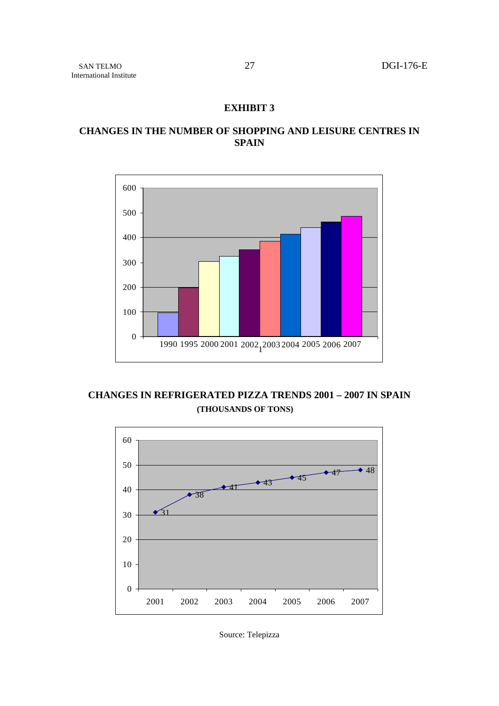## **EXHIBIT 3**

# **CHANGES IN THE NUMBER OF SHOPPING AND LEISURE CENTRES IN SPAIN**



**CHANGES IN REFRIGERATED PIZZA TRENDS 2001 – 2007 IN SPAIN (THOUSANDS OF TONS)** 



Source: Telepizza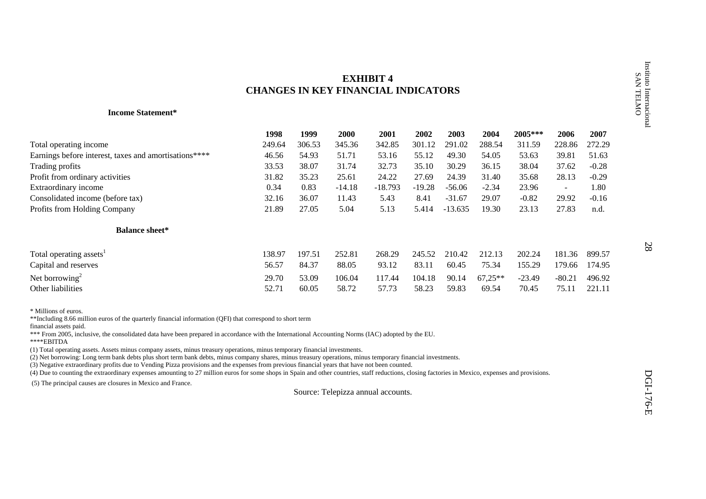# **EXHIBIT 4CHANGES IN KEY FINANCIAL INDICATORS**

#### **Income Statement\***

| <b>EXHIBIT 4</b><br><b>CHANGES IN KEY FINANCIAL INDICATORS</b> |        |                                                                                                                    |                                                                                                                                      |          |                                                                                                                                                                                                                                                                                                                                                    |                                                                                                                                                                      |           |          |                                                                                                                                                                                                               | Instituto Internacional<br>SAN TELMO |
|----------------------------------------------------------------|--------|--------------------------------------------------------------------------------------------------------------------|--------------------------------------------------------------------------------------------------------------------------------------|----------|----------------------------------------------------------------------------------------------------------------------------------------------------------------------------------------------------------------------------------------------------------------------------------------------------------------------------------------------------|----------------------------------------------------------------------------------------------------------------------------------------------------------------------|-----------|----------|---------------------------------------------------------------------------------------------------------------------------------------------------------------------------------------------------------------|--------------------------------------|
|                                                                |        |                                                                                                                    |                                                                                                                                      |          |                                                                                                                                                                                                                                                                                                                                                    |                                                                                                                                                                      |           |          |                                                                                                                                                                                                               |                                      |
| 1998                                                           | 1999   | 2000                                                                                                               | 2001                                                                                                                                 | 2002     | 2003                                                                                                                                                                                                                                                                                                                                               | 2004                                                                                                                                                                 | 2005***   | 2006     | 2007                                                                                                                                                                                                          |                                      |
| 249.64                                                         | 306.53 | 345.36                                                                                                             | 342.85                                                                                                                               | 301.12   | 291.02                                                                                                                                                                                                                                                                                                                                             | 288.54                                                                                                                                                               | 311.59    | 228.86   | 272.29                                                                                                                                                                                                        |                                      |
| 46.56                                                          | 54.93  | 51.71                                                                                                              | 53.16                                                                                                                                | 55.12    | 49.30                                                                                                                                                                                                                                                                                                                                              | 54.05                                                                                                                                                                | 53.63     | 39.81    | 51.63                                                                                                                                                                                                         |                                      |
| 33.53                                                          | 38.07  | 31.74                                                                                                              | 32.73                                                                                                                                | 35.10    | 30.29                                                                                                                                                                                                                                                                                                                                              | 36.15                                                                                                                                                                | 38.04     | 37.62    | $-0.28$                                                                                                                                                                                                       |                                      |
| 31.82                                                          | 35.23  | 25.61                                                                                                              | 24.22                                                                                                                                | 27.69    | 24.39                                                                                                                                                                                                                                                                                                                                              | 31.40                                                                                                                                                                | 35.68     | 28.13    | $-0.29$                                                                                                                                                                                                       |                                      |
| 0.34                                                           | 0.83   | $-14.18$                                                                                                           | $-18.793$                                                                                                                            | $-19.28$ | $-56.06$                                                                                                                                                                                                                                                                                                                                           | $-2.34$                                                                                                                                                              | 23.96     | $\sim$   | 1.80                                                                                                                                                                                                          |                                      |
| 32.16                                                          | 36.07  | 11.43                                                                                                              | 5.43                                                                                                                                 | 8.41     | $-31.67$                                                                                                                                                                                                                                                                                                                                           | 29.07                                                                                                                                                                | $-0.82$   | 29.92    | $-0.16$                                                                                                                                                                                                       |                                      |
| 21.89                                                          | 27.05  | 5.04                                                                                                               | 5.13                                                                                                                                 | 5.414    | $-13.635$                                                                                                                                                                                                                                                                                                                                          | 19.30                                                                                                                                                                | 23.13     | 27.83    | n.d.                                                                                                                                                                                                          |                                      |
|                                                                |        |                                                                                                                    |                                                                                                                                      |          |                                                                                                                                                                                                                                                                                                                                                    |                                                                                                                                                                      |           |          |                                                                                                                                                                                                               |                                      |
| 138.97                                                         | 197.51 | 252.81                                                                                                             | 268.29                                                                                                                               | 245.52   | 210.42                                                                                                                                                                                                                                                                                                                                             | 212.13                                                                                                                                                               | 202.24    | 181.36   | 899.57                                                                                                                                                                                                        | 28                                   |
| 56.57                                                          | 84.37  | 88.05                                                                                                              | 93.12                                                                                                                                | 83.11    | 60.45                                                                                                                                                                                                                                                                                                                                              | 75.34                                                                                                                                                                | 155.29    | 179.66   | 174.95                                                                                                                                                                                                        |                                      |
|                                                                |        |                                                                                                                    |                                                                                                                                      |          |                                                                                                                                                                                                                                                                                                                                                    |                                                                                                                                                                      |           |          |                                                                                                                                                                                                               |                                      |
| 52.71                                                          | 60.05  | 58.72                                                                                                              | 57.73                                                                                                                                | 58.23    | 59.83                                                                                                                                                                                                                                                                                                                                              | 69.54                                                                                                                                                                | 70.45     | 75.11    | 221.11                                                                                                                                                                                                        |                                      |
|                                                                |        |                                                                                                                    |                                                                                                                                      |          |                                                                                                                                                                                                                                                                                                                                                    |                                                                                                                                                                      |           |          |                                                                                                                                                                                                               | DGI-176-E                            |
|                                                                | 29.70  | 53.09<br>**Including 8.66 million euros of the quarterly financial information (QFI) that correspond to short term | 106.04<br>(1) Total operating assets. Assets minus company assets, minus treasury operations, minus temporary financial investments. | 117.44   | 104.18<br>*** From 2005, inclusive, the consolidated data have been prepared in accordance with the International Accounting Norms (IAC) adopted by the EU.<br>(3) Negative extraordinary profits due to Vending Pizza provisions and the expenses from previous financial years that have not been counted.<br>Source: Telepizza annual accounts. | 90.14<br>(2) Net borrowing: Long term bank debts plus short term bank debts, minus company shares, minus treasury operations, minus temporary financial investments. | $67,25**$ | $-23.49$ | $-80.21$<br>(4) Due to counting the extraordinary expenses amounting to 27 million euros for some shops in Spain and other countries, staff reductions, closing factories in Mexico, expenses and provisions. | 496.92                               |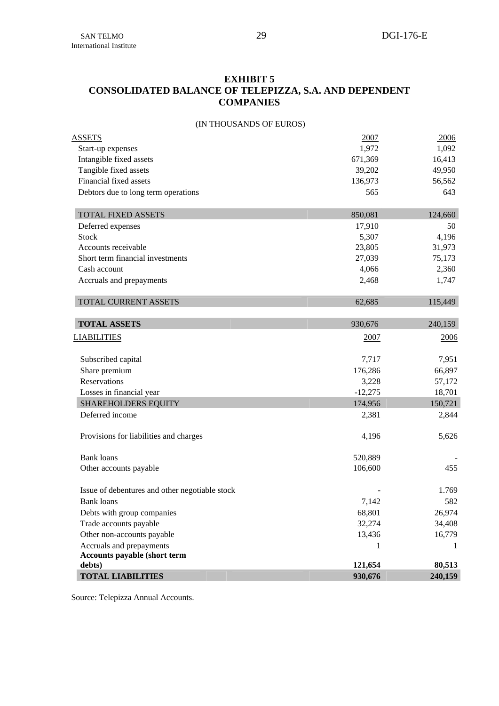# **EXHIBIT 5 CONSOLIDATED BALANCE OF TELEPIZZA, S.A. AND DEPENDENT COMPANIES**

## (IN THOUSANDS OF EUROS)

| <b>TOTAL LIABILITIES</b>                         | 930,676           | 240,159          |
|--------------------------------------------------|-------------------|------------------|
| debts)                                           | 121,654           | 80,513           |
| <b>Accounts payable (short term</b>              |                   |                  |
| Accruals and prepayments                         | 1                 |                  |
| Other non-accounts payable                       | 13,436            | 16,779           |
| Trade accounts payable                           | 32,274            | 34,408           |
| Debts with group companies                       | 68,801            | 26,974           |
| <b>Bank</b> loans                                | 7,142             | 582              |
| Issue of debentures and other negotiable stock   |                   | 1.769            |
| Other accounts payable                           | 106,600           | 455              |
| <b>Bank</b> loans                                | 520,889           |                  |
| Provisions for liabilities and charges           | 4,196             | 5,626            |
| Deferred income                                  | 2,381             | 2,844            |
| <b>SHAREHOLDERS EQUITY</b>                       | 174,956           | 150,721          |
| Losses in financial year                         | $-12,275$         | 18,701           |
| Reservations                                     | 3,228             | 57,172           |
| Subscribed capital<br>Share premium              | 7,717<br>176,286  | 7,951<br>66,897  |
| <b>LIABILITIES</b>                               | 2007              | 2006             |
| <b>TOTAL ASSETS</b>                              | 930,676           | 240,159          |
|                                                  |                   |                  |
| TOTAL CURRENT ASSETS                             | 62,685            | 115,449          |
| Accruals and prepayments                         | 2,468             | 1,747            |
| Cash account                                     | 4,066             | 2,360            |
| Short term financial investments                 | 27,039            | 75,173           |
| Accounts receivable                              | 23,805            | 31,973           |
| Stock                                            | 5,307             | 4,196            |
| Deferred expenses                                | 17,910            | 50               |
| <b>TOTAL FIXED ASSETS</b>                        | 850,081           | 124,660          |
|                                                  |                   |                  |
| Debtors due to long term operations              | 565               | 643              |
| Financial fixed assets                           | 136,973           | 56,562           |
| Intangible fixed assets<br>Tangible fixed assets | 671,369<br>39,202 | 16,413<br>49,950 |
| Start-up expenses                                | 1,972             | 1,092            |
| <b>ASSETS</b>                                    | 2007              | <u>2006</u>      |
|                                                  |                   |                  |

Source: Telepizza Annual Accounts.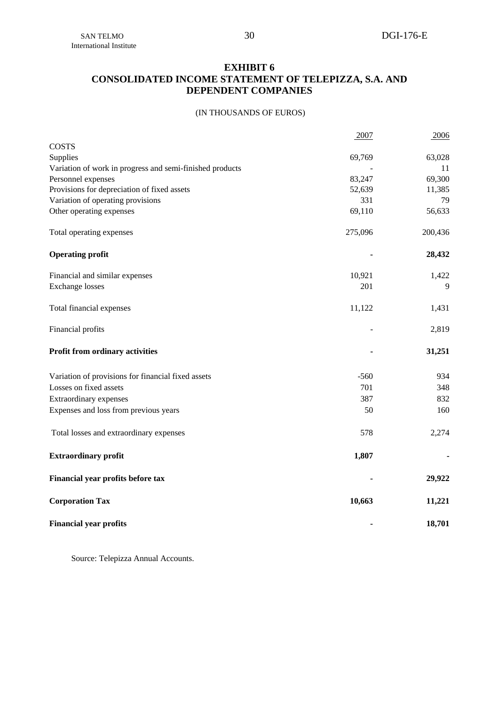## **EXHIBIT 6 CONSOLIDATED INCOME STATEMENT OF TELEPIZZA, S.A. AND DEPENDENT COMPANIES**

## (IN THOUSANDS OF EUROS)

|                                                          | 2007    | 2006    |
|----------------------------------------------------------|---------|---------|
| <b>COSTS</b>                                             |         |         |
| Supplies                                                 | 69,769  | 63,028  |
| Variation of work in progress and semi-finished products |         | 11      |
| Personnel expenses                                       | 83,247  | 69,300  |
| Provisions for depreciation of fixed assets              | 52,639  | 11,385  |
| Variation of operating provisions                        | 331     | 79      |
| Other operating expenses                                 | 69,110  | 56,633  |
| Total operating expenses                                 | 275,096 | 200,436 |
| <b>Operating profit</b>                                  |         | 28,432  |
| Financial and similar expenses                           | 10,921  | 1,422   |
| <b>Exchange losses</b>                                   | 201     | 9       |
| Total financial expenses                                 | 11,122  | 1,431   |
| Financial profits                                        |         | 2,819   |
| Profit from ordinary activities                          |         | 31,251  |
| Variation of provisions for financial fixed assets       | $-560$  | 934     |
| Losses on fixed assets                                   | 701     | 348     |
| Extraordinary expenses                                   | 387     | 832     |
| Expenses and loss from previous years                    | 50      | 160     |
| Total losses and extraordinary expenses                  | 578     | 2,274   |
| <b>Extraordinary profit</b>                              | 1,807   |         |
| Financial year profits before tax                        |         | 29,922  |
| <b>Corporation Tax</b>                                   | 10,663  | 11,221  |
| <b>Financial year profits</b>                            |         | 18,701  |

Source: Telepizza Annual Accounts.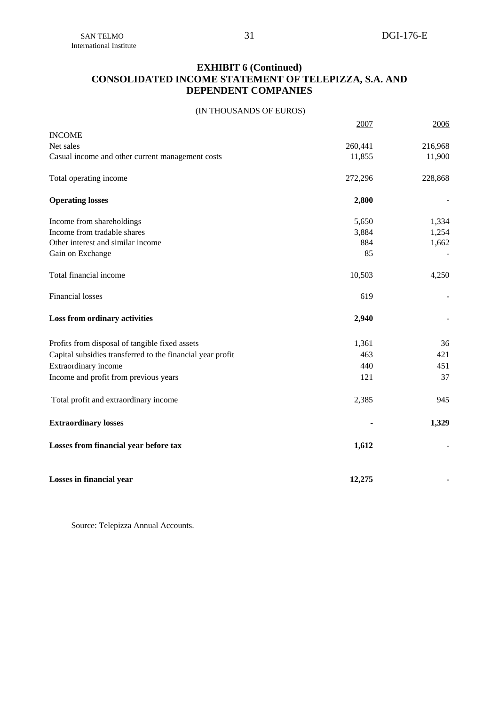# **EXHIBIT 6 (Continued) CONSOLIDATED INCOME STATEMENT OF TELEPIZZA, S.A. AND DEPENDENT COMPANIES**

(IN THOUSANDS OF EUROS)

|                                                            | 2007    | 2006    |
|------------------------------------------------------------|---------|---------|
| <b>INCOME</b>                                              |         |         |
| Net sales                                                  | 260,441 | 216,968 |
| Casual income and other current management costs           | 11,855  | 11,900  |
| Total operating income                                     | 272,296 | 228,868 |
| <b>Operating losses</b>                                    | 2,800   |         |
| Income from shareholdings                                  | 5,650   | 1,334   |
| Income from tradable shares                                | 3,884   | 1,254   |
| Other interest and similar income                          | 884     | 1,662   |
| Gain on Exchange                                           | 85      |         |
| Total financial income                                     | 10,503  | 4,250   |
| <b>Financial losses</b>                                    | 619     |         |
| Loss from ordinary activities                              | 2,940   |         |
| Profits from disposal of tangible fixed assets             | 1,361   | 36      |
| Capital subsidies transferred to the financial year profit | 463     | 421     |
| Extraordinary income                                       | 440     | 451     |
| Income and profit from previous years                      | 121     | 37      |
| Total profit and extraordinary income                      | 2,385   | 945     |
| <b>Extraordinary losses</b>                                |         | 1,329   |
| Losses from financial year before tax                      | 1,612   |         |
| Losses in financial year                                   | 12,275  |         |

Source: Telepizza Annual Accounts.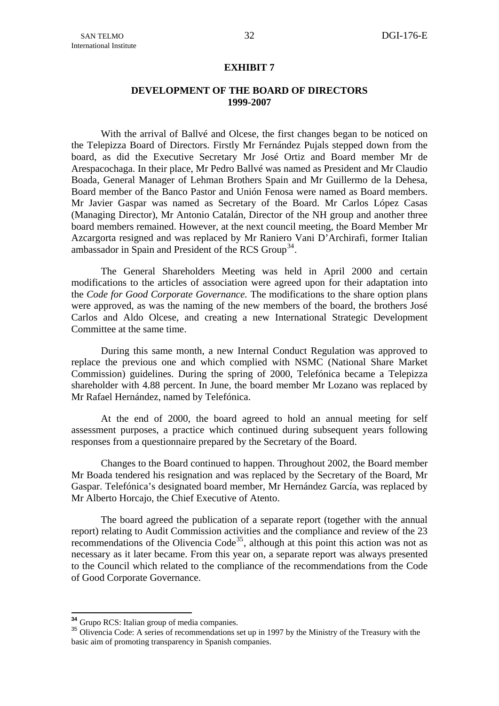#### **EXHIBIT 7**

## **DEVELOPMENT OF THE BOARD OF DIRECTORS 1999-2007**

<span id="page-34-0"></span>With the arrival of Ballvé and Olcese, the first changes began to be noticed on the Telepizza Board of Directors. Firstly Mr Fernández Pujals stepped down from the board, as did the Executive Secretary Mr José Ortiz and Board member Mr de Arespacochaga. In their place, Mr Pedro Ballvé was named as President and Mr Claudio Boada, General Manager of Lehman Brothers Spain and Mr Guillermo de la Dehesa, Board member of the Banco Pastor and Unión Fenosa were named as Board members. Mr Javier Gaspar was named as Secretary of the Board. Mr Carlos López Casas (Managing Director), Mr Antonio Catalán, Director of the NH group and another three board members remained. However, at the next council meeting, the Board Member Mr Azcargorta resigned and was replaced by Mr Raniero Vani D'Archirafi, former Italian ambassador in Spain and President of the RCS Group<sup>[34](#page-34-0)</sup>.

The General Shareholders Meeting was held in April 2000 and certain modifications to the articles of association were agreed upon for their adaptation into the *Code for Good Corporate Governance.* The modifications to the share option plans were approved, as was the naming of the new members of the board, the brothers José Carlos and Aldo Olcese, and creating a new International Strategic Development Committee at the same time.

During this same month, a new Internal Conduct Regulation was approved to replace the previous one and which complied with NSMC (National Share Market Commission) guidelines. During the spring of 2000, Telefónica became a Telepizza shareholder with 4.88 percent. In June, the board member Mr Lozano was replaced by Mr Rafael Hernández, named by Telefónica.

At the end of 2000, the board agreed to hold an annual meeting for self assessment purposes, a practice which continued during subsequent years following responses from a questionnaire prepared by the Secretary of the Board.

Changes to the Board continued to happen. Throughout 2002, the Board member Mr Boada tendered his resignation and was replaced by the Secretary of the Board, Mr Gaspar. Telefónica's designated board member, Mr Hernández García, was replaced by Mr Alberto Horcajo, the Chief Executive of Atento.

The board agreed the publication of a separate report (together with the annual report) relating to Audit Commission activities and the compliance and review of the 23 recommendations of the Olivencia Code<sup>[35](#page-34-0)</sup>, although at this point this action was not as necessary as it later became. From this year on, a separate report was always presented to the Council which related to the compliance of the recommendations from the Code of Good Corporate Governance.

<sup>&</sup>lt;sup>34</sup> Grupo RCS: Italian group of media companies.

<sup>&</sup>lt;sup>35</sup> Olivencia Code: A series of recommendations set up in 1997 by the Ministry of the Treasury with the basic aim of promoting transparency in Spanish companies.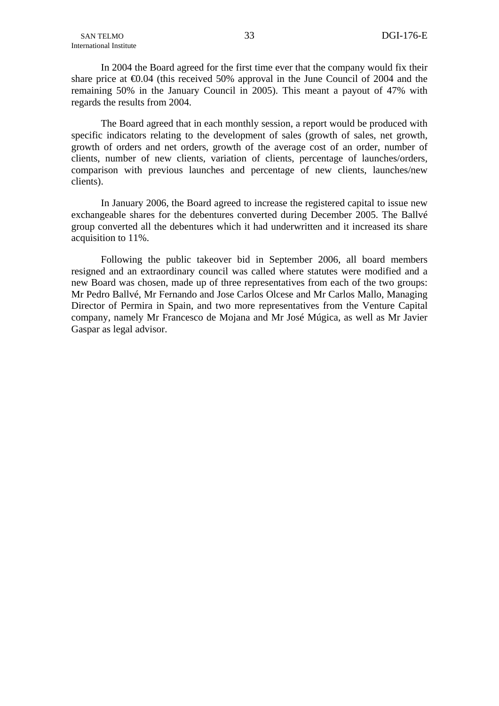In 2004 the Board agreed for the first time ever that the company would fix their share price at  $\epsilon 0.04$  (this received 50% approval in the June Council of 2004 and the remaining 50% in the January Council in 2005). This meant a payout of 47% with regards the results from 2004.

The Board agreed that in each monthly session, a report would be produced with specific indicators relating to the development of sales (growth of sales, net growth, growth of orders and net orders, growth of the average cost of an order, number of clients, number of new clients, variation of clients, percentage of launches/orders, comparison with previous launches and percentage of new clients, launches/new clients).

In January 2006, the Board agreed to increase the registered capital to issue new exchangeable shares for the debentures converted during December 2005. The Ballvé group converted all the debentures which it had underwritten and it increased its share acquisition to 11%.

Following the public takeover bid in September 2006, all board members resigned and an extraordinary council was called where statutes were modified and a new Board was chosen, made up of three representatives from each of the two groups: Mr Pedro Ballvé, Mr Fernando and Jose Carlos Olcese and Mr Carlos Mallo, Managing Director of Permira in Spain, and two more representatives from the Venture Capital company, namely Mr Francesco de Mojana and Mr José Múgica, as well as Mr Javier Gaspar as legal advisor.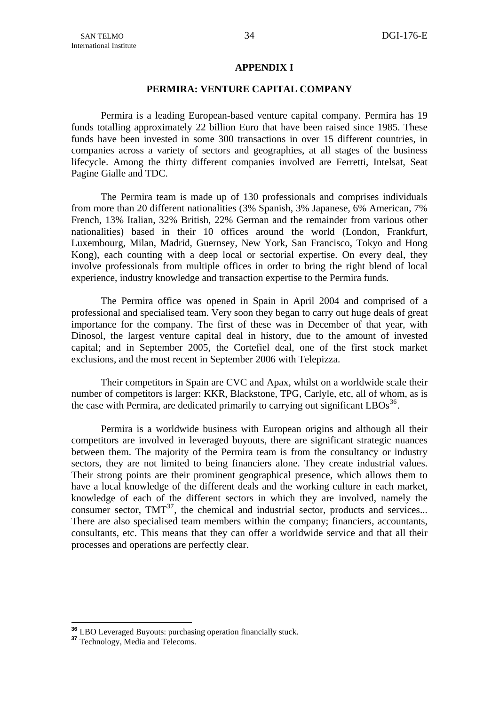## **APPENDIX I**

## **PERMIRA: VENTURE CAPITAL COMPANY**

<span id="page-36-0"></span>Permira is a leading European-based venture capital company. Permira has 19 funds totalling approximately 22 billion Euro that have been raised since 1985. These funds have been invested in some 300 transactions in over 15 different countries, in companies across a variety of [sectors](http://www.permira.com/en/sector/sectorfocus.html) and [geographies,](http://www.permira.com/permira/en/dealtype.jsp) at all stages of the business lifecycle. Among the thirty different companies involved are Ferretti, Intelsat, Seat Pagine Gialle and TDC.

The Permira team is made up of 130 professionals and comprises individuals from more than 20 different nationalities (3% Spanish, 3% Japanese, 6% American, 7% French, 13% Italian, 32% British, 22% German and the remainder from various other nationalities) based in their 10 offices around the world (London, Frankfurt, Luxembourg, Milan, Madrid, Guernsey, New York, San Francisco, Tokyo and Hong Kong), each counting with a deep local or sectorial expertise. On every deal, they involve professionals from multiple offices in order to bring the right blend of local experience, industry knowledge and transaction expertise to the Permira funds.

The Permira office was opened in Spain in April 2004 and comprised of a professional and specialised team. Very soon they began to carry out huge deals of great importance for the company. The first of these was in December of that year, with Dinosol, the largest venture capital deal in history, due to the amount of invested capital; and in September 2005, the Cortefiel deal, one of the first stock market exclusions, and the most recent in September 2006 with Telepizza.

Their competitors in Spain are CVC and Apax, whilst on a worldwide scale their number of competitors is larger: KKR, Blackstone, TPG, Carlyle, etc, all of whom, as is the case with Permira, are dedicated primarily to carrying out significant  $LBOs<sup>36</sup>$  $LBOs<sup>36</sup>$  $LBOs<sup>36</sup>$ .

Permira is a worldwide business with European origins and although all their competitors are involved in leveraged buyouts, there are significant strategic nuances between them. The majority of the Permira team is from the consultancy or industry sectors, they are not limited to being financiers alone. They create industrial values. Their strong points are their prominent geographical presence, which allows them to have a local knowledge of the different deals and the working culture in each market, knowledge of each of the different sectors in which they are involved, namely the consumer sector,  $TMT^{37}$  $TMT^{37}$  $TMT^{37}$ , the chemical and industrial sector, products and services... There are also specialised team members within the company; financiers, accountants, consultants, etc. This means that they can offer a worldwide service and that all their processes and operations are perfectly clear.

<u>.</u>

**<sup>36</sup>** LBO Leveraged Buyouts: purchasing operation financially stuck. **<sup>37</sup>** Technology, Media and Telecoms.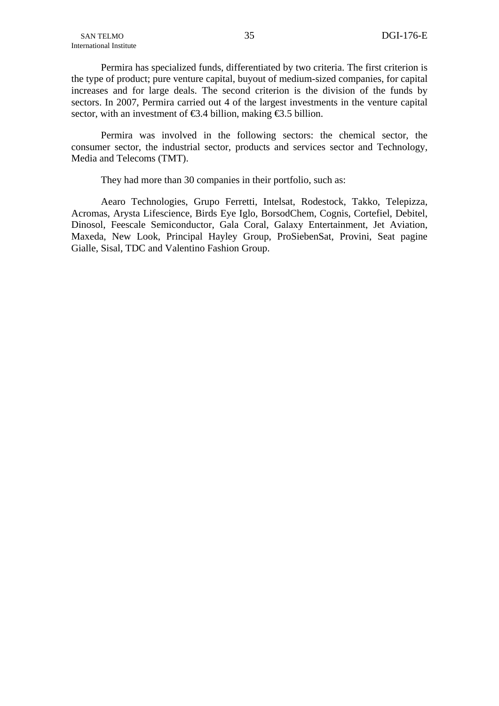Permira has specialized funds, differentiated by two criteria. The first criterion is the type of product; pure venture capital, buyout of medium-sized companies, for capital increases and for large deals. The second criterion is the division of the funds by sectors. In 2007, Permira carried out 4 of the largest investments in the venture capital sector, with an investment of  $\epsilon$ 3.4 billion, making  $\epsilon$ 3.5 billion.

Permira was involved in the following sectors: the chemical sector, the consumer sector, the industrial sector, products and services sector and Technology, Media and Telecoms (TMT).

They had more than 30 companies in their portfolio, such as:

Aearo Technologies, Grupo Ferretti, Intelsat, Rodestock, Takko, Telepizza, Acromas, Arysta Lifescience, Birds Eye Iglo, BorsodChem, Cognis, Cortefiel, Debitel, Dinosol, Feescale Semiconductor, Gala Coral, Galaxy Entertainment, Jet Aviation, Maxeda, New Look, Principal Hayley Group, ProSiebenSat, Provini, Seat pagine Gialle, Sisal, TDC and Valentino Fashion Group.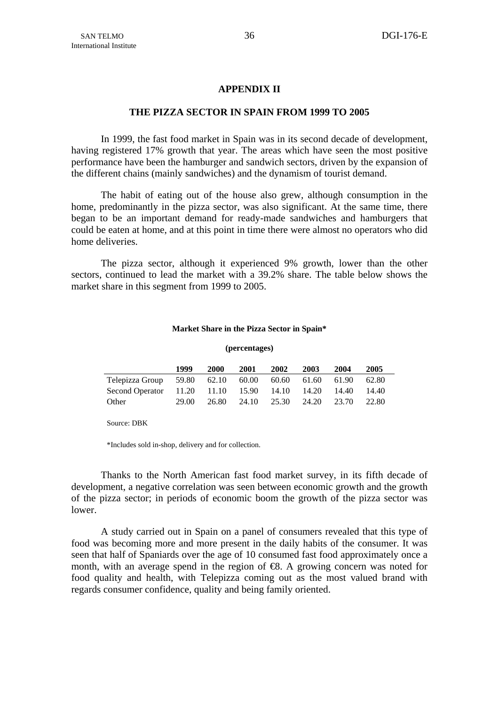## **APPENDIX II**

## **THE PIZZA SECTOR IN SPAIN FROM 1999 TO 2005**

 In 1999, the fast food market in Spain was in its second decade of development, having registered 17% growth that year. The areas which have seen the most positive performance have been the hamburger and sandwich sectors, driven by the expansion of the different chains (mainly sandwiches) and the dynamism of tourist demand.

 The habit of eating out of the house also grew, although consumption in the home, predominantly in the pizza sector, was also significant. At the same time, there began to be an important demand for ready-made sandwiches and hamburgers that could be eaten at home, and at this point in time there were almost no operators who did home deliveries.

 The pizza sector, although it experienced 9% growth, lower than the other sectors, continued to lead the market with a 39.2% share. The table below shows the market share in this segment from 1999 to 2005.

#### **Market Share in the Pizza Sector in Spain\***

# **(percentages)**

|                                   | 1999  | 2000  | 2001  | 2002        | 2003  | 2004  | 2005  |  |
|-----------------------------------|-------|-------|-------|-------------|-------|-------|-------|--|
| Telepizza Group 59.80 62.10       |       |       | 60.00 | 60.60       | 61.60 | 61.90 | 62.80 |  |
| Second Operator 11.20 11.10 15.90 |       |       |       | 14.10 14.20 |       | 14.40 | 14.40 |  |
| Other                             | 29.00 | 26.80 | 24.10 | 25.30 24.20 |       | 23.70 | 22.80 |  |

Source: DBK

\*Includes sold in-shop, delivery and for collection.

Thanks to the North American fast food market survey, in its fifth decade of development, a negative correlation was seen between economic growth and the growth of the pizza sector; in periods of economic boom the growth of the pizza sector was lower.

A study carried out in Spain on a panel of consumers revealed that this type of food was becoming more and more present in the daily habits of the consumer. It was seen that half of Spaniards over the age of 10 consumed fast food approximately once a month, with an average spend in the region of  $\Theta$ . A growing concern was noted for food quality and health, with Telepizza coming out as the most valued brand with regards consumer confidence, quality and being family oriented.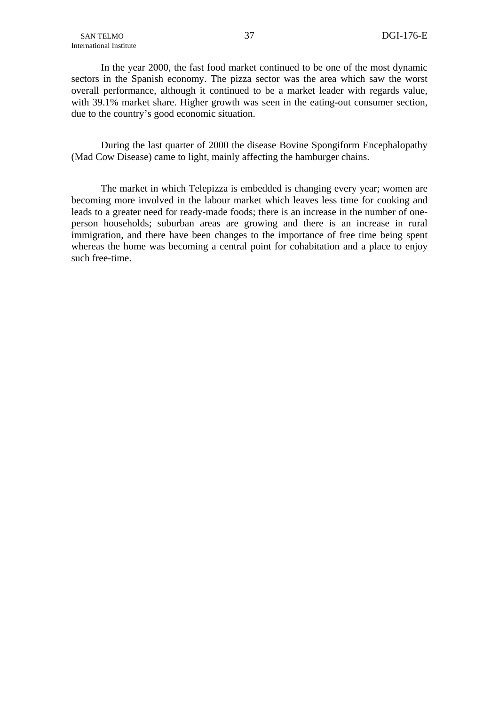In the year 2000, the fast food market continued to be one of the most dynamic sectors in the Spanish economy. The pizza sector was the area which saw the worst overall performance, although it continued to be a market leader with regards value, with 39.1% market share. Higher growth was seen in the eating-out consumer section, due to the country's good economic situation.

During the last quarter of 2000 the disease Bovine Spongiform Encephalopathy (Mad Cow Disease) came to light, mainly affecting the hamburger chains.

The market in which Telepizza is embedded is changing every year; women are becoming more involved in the labour market which leaves less time for cooking and leads to a greater need for ready-made foods; there is an increase in the number of oneperson households; suburban areas are growing and there is an increase in rural immigration, and there have been changes to the importance of free time being spent whereas the home was becoming a central point for cohabitation and a place to enjoy such free-time.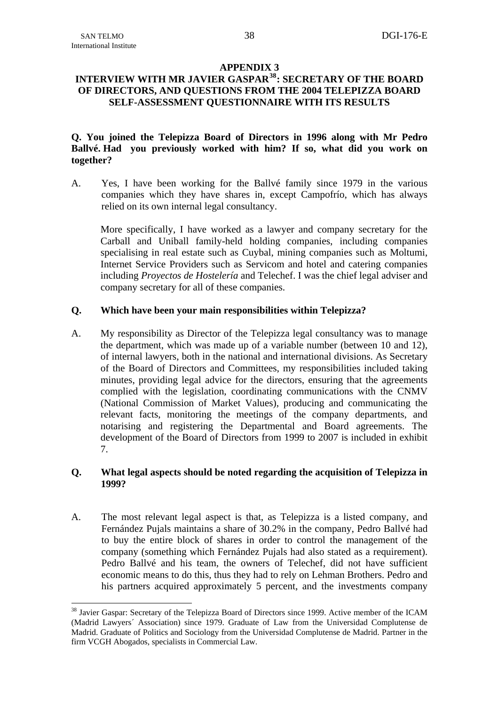1

# **APPENDIX 3**

# <span id="page-40-0"></span>**INTERVIEW WITH MR JAVIER GASPAR[38](#page-40-0): SECRETARY OF THE BOARD OF DIRECTORS, AND QUESTIONS FROM THE 2004 TELEPIZZA BOARD SELF-ASSESSMENT QUESTIONNAIRE WITH ITS RESULTS**

# **Q. You joined the Telepizza Board of Directors in 1996 along with Mr Pedro Ballvé. Had you previously worked with him? If so, what did you work on together?**

A. Yes, I have been working for the Ballvé family since 1979 in the various companies which they have shares in, except Campofrío, which has always relied on its own internal legal consultancy.

More specifically, I have worked as a lawyer and company secretary for the Carball and Uniball family-held holding companies, including companies specialising in real estate such as Cuybal, mining companies such as Moltumi, Internet Service Providers such as Servicom and hotel and catering companies including *Proyectos de Hostelería* and Telechef. I was the chief legal adviser and company secretary for all of these companies.

## **Q. Which have been your main responsibilities within Telepizza?**

A. My responsibility as Director of the Telepizza legal consultancy was to manage the department, which was made up of a variable number (between 10 and 12), of internal lawyers, both in the national and international divisions. As Secretary of the Board of Directors and Committees, my responsibilities included taking minutes, providing legal advice for the directors, ensuring that the agreements complied with the legislation, coordinating communications with the CNMV (National Commission of Market Values), producing and communicating the relevant facts, monitoring the meetings of the company departments, and notarising and registering the Departmental and Board agreements. The development of the Board of Directors from 1999 to 2007 is included in exhibit 7.

## **Q. What legal aspects should be noted regarding the acquisition of Telepizza in 1999?**

A. The most relevant legal aspect is that, as Telepizza is a listed company, and Fernández Pujals maintains a share of 30.2% in the company, Pedro Ballvé had to buy the entire block of shares in order to control the management of the company (something which Fernández Pujals had also stated as a requirement). Pedro Ballvé and his team, the owners of Telechef, did not have sufficient economic means to do this, thus they had to rely on Lehman Brothers. Pedro and his partners acquired approximately 5 percent, and the investments company

<sup>&</sup>lt;sup>38</sup> Javier Gaspar: Secretary of the Telepizza Board of Directors since 1999. Active member of the ICAM (Madrid Lawyers´ Association) since 1979. Graduate of Law from the Universidad Complutense de Madrid. Graduate of Politics and Sociology from the Universidad Complutense de Madrid. Partner in the firm VCGH Abogados, specialists in Commercial Law.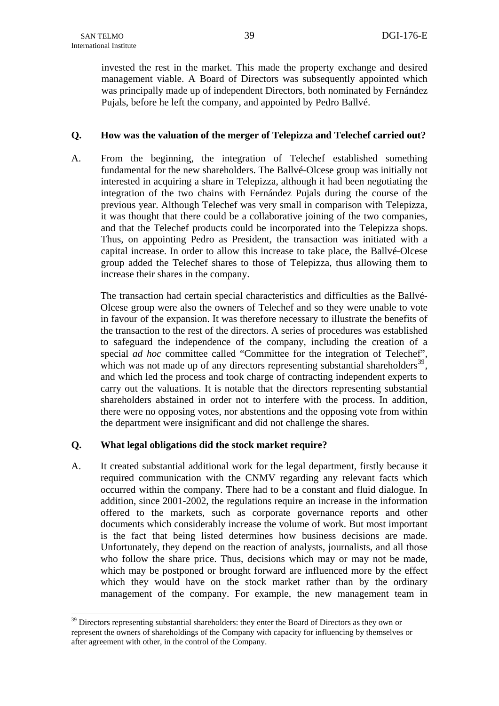1

<span id="page-41-0"></span>invested the rest in the market. This made the property exchange and desired management viable. A Board of Directors was subsequently appointed which was principally made up of independent Directors, both nominated by Fernández Pujals, before he left the company, and appointed by Pedro Ballvé.

## **Q. How was the valuation of the merger of Telepizza and Telechef carried out?**

A. From the beginning, the integration of Telechef established something fundamental for the new shareholders. The Ballvé-Olcese group was initially not interested in acquiring a share in Telepizza, although it had been negotiating the integration of the two chains with Fernández Pujals during the course of the previous year. Although Telechef was very small in comparison with Telepizza, it was thought that there could be a collaborative joining of the two companies, and that the Telechef products could be incorporated into the Telepizza shops. Thus, on appointing Pedro as President, the transaction was initiated with a capital increase. In order to allow this increase to take place, the Ballvé-Olcese group added the Telechef shares to those of Telepizza, thus allowing them to increase their shares in the company.

The transaction had certain special characteristics and difficulties as the Ballvé-Olcese group were also the owners of Telechef and so they were unable to vote in favour of the expansion. It was therefore necessary to illustrate the benefits of the transaction to the rest of the directors. A series of procedures was established to safeguard the independence of the company, including the creation of a special *ad hoc* committee called "Committee for the integration of Telechef", which was not made up of any directors representing substantial shareholders<sup>[39](#page-41-0)</sup>, and which led the process and took charge of contracting independent experts to carry out the valuations. It is notable that the directors representing substantial shareholders abstained in order not to interfere with the process. In addition, there were no opposing votes, nor abstentions and the opposing vote from within the department were insignificant and did not challenge the shares.

# **Q. What legal obligations did the stock market require?**

A. It created substantial additional work for the legal department, firstly because it required communication with the CNMV regarding any relevant facts which occurred within the company. There had to be a constant and fluid dialogue. In addition, since 2001-2002, the regulations require an increase in the information offered to the markets, such as corporate governance reports and other documents which considerably increase the volume of work. But most important is the fact that being listed determines how business decisions are made. Unfortunately, they depend on the reaction of analysts, journalists, and all those who follow the share price. Thus, decisions which may or may not be made, which may be postponed or brought forward are influenced more by the effect which they would have on the stock market rather than by the ordinary management of the company. For example, the new management team in

<sup>&</sup>lt;sup>39</sup> Directors representing substantial shareholders: they enter the Board of Directors as they own or represent the owners of shareholdings of the Company with capacity for influencing by themselves or after agreement with other, in the control of the Company.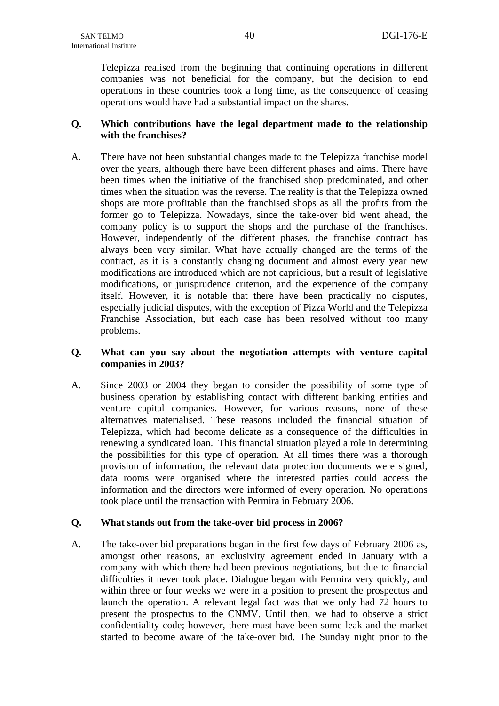Telepizza realised from the beginning that continuing operations in different companies was not beneficial for the company, but the decision to end operations in these countries took a long time, as the consequence of ceasing operations would have had a substantial impact on the shares.

# **Q. Which contributions have the legal department made to the relationship with the franchises?**

A. There have not been substantial changes made to the Telepizza franchise model over the years, although there have been different phases and aims. There have been times when the initiative of the franchised shop predominated, and other times when the situation was the reverse. The reality is that the Telepizza owned shops are more profitable than the franchised shops as all the profits from the former go to Telepizza. Nowadays, since the take-over bid went ahead, the company policy is to support the shops and the purchase of the franchises. However, independently of the different phases, the franchise contract has always been very similar. What have actually changed are the terms of the contract, as it is a constantly changing document and almost every year new modifications are introduced which are not capricious, but a result of legislative modifications, or jurisprudence criterion, and the experience of the company itself. However, it is notable that there have been practically no disputes, especially judicial disputes, with the exception of Pizza World and the Telepizza Franchise Association, but each case has been resolved without too many problems.

## **Q. What can you say about the negotiation attempts with venture capital companies in 2003?**

A. Since 2003 or 2004 they began to consider the possibility of some type of business operation by establishing contact with different banking entities and venture capital companies. However, for various reasons, none of these alternatives materialised. These reasons included the financial situation of Telepizza, which had become delicate as a consequence of the difficulties in renewing a syndicated loan. This financial situation played a role in determining the possibilities for this type of operation. At all times there was a thorough provision of information, the relevant data protection documents were signed, data rooms were organised where the interested parties could access the information and the directors were informed of every operation. No operations took place until the transaction with Permira in February 2006.

# **Q. What stands out from the take-over bid process in 2006?**

A. The take-over bid preparations began in the first few days of February 2006 as, amongst other reasons, an exclusivity agreement ended in January with a company with which there had been previous negotiations, but due to financial difficulties it never took place. Dialogue began with Permira very quickly, and within three or four weeks we were in a position to present the prospectus and launch the operation. A relevant legal fact was that we only had 72 hours to present the prospectus to the CNMV. Until then, we had to observe a strict confidentiality code; however, there must have been some leak and the market started to become aware of the take-over bid. The Sunday night prior to the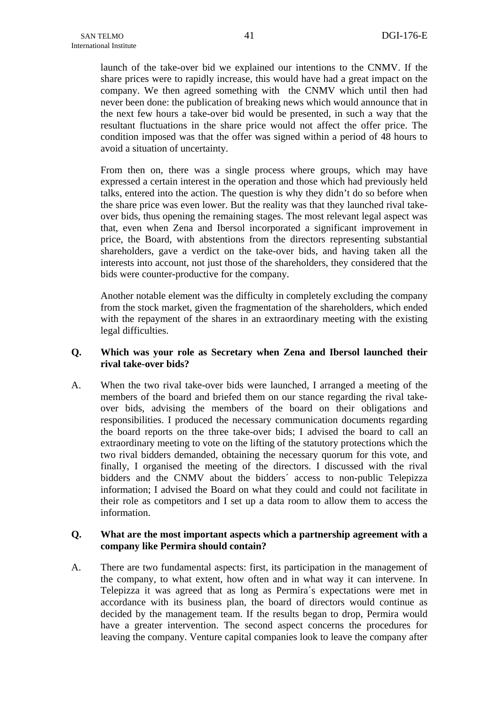launch of the take-over bid we explained our intentions to the CNMV. If the share prices were to rapidly increase, this would have had a great impact on the company. We then agreed something with the CNMV which until then had never been done: the publication of breaking news which would announce that in the next few hours a take-over bid would be presented, in such a way that the resultant fluctuations in the share price would not affect the offer price. The condition imposed was that the offer was signed within a period of 48 hours to avoid a situation of uncertainty.

From then on, there was a single process where groups, which may have expressed a certain interest in the operation and those which had previously held talks, entered into the action. The question is why they didn't do so before when the share price was even lower. But the reality was that they launched rival takeover bids, thus opening the remaining stages. The most relevant legal aspect was that, even when Zena and Ibersol incorporated a significant improvement in price, the Board, with abstentions from the directors representing substantial shareholders, gave a verdict on the take-over bids, and having taken all the interests into account, not just those of the shareholders, they considered that the bids were counter-productive for the company.

Another notable element was the difficulty in completely excluding the company from the stock market, given the fragmentation of the shareholders, which ended with the repayment of the shares in an extraordinary meeting with the existing legal difficulties.

## **Q. Which was your role as Secretary when Zena and Ibersol launched their rival take-over bids?**

A. When the two rival take-over bids were launched, I arranged a meeting of the members of the board and briefed them on our stance regarding the rival takeover bids, advising the members of the board on their obligations and responsibilities. I produced the necessary communication documents regarding the board reports on the three take-over bids; I advised the board to call an extraordinary meeting to vote on the lifting of the statutory protections which the two rival bidders demanded, obtaining the necessary quorum for this vote, and finally, I organised the meeting of the directors. I discussed with the rival bidders and the CNMV about the bidders´ access to non-public Telepizza information; I advised the Board on what they could and could not facilitate in their role as competitors and I set up a data room to allow them to access the information.

## **Q. What are the most important aspects which a partnership agreement with a company like Permira should contain?**

A. There are two fundamental aspects: first, its participation in the management of the company, to what extent, how often and in what way it can intervene. In Telepizza it was agreed that as long as Permira´s expectations were met in accordance with its business plan, the board of directors would continue as decided by the management team. If the results began to drop, Permira would have a greater intervention. The second aspect concerns the procedures for leaving the company. Venture capital companies look to leave the company after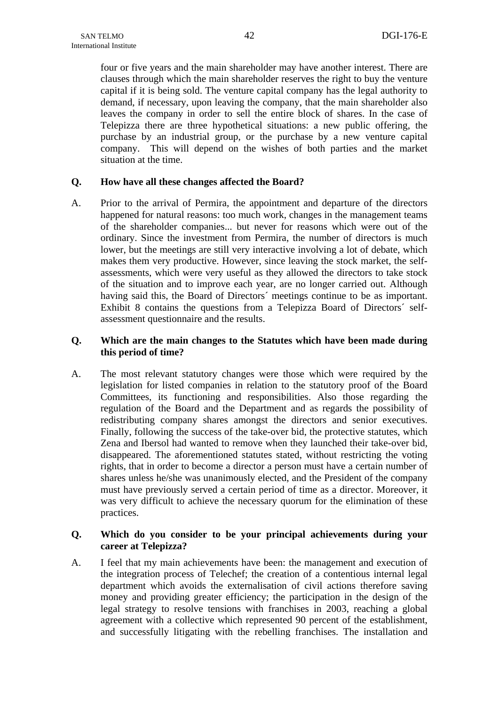four or five years and the main shareholder may have another interest. There are clauses through which the main shareholder reserves the right to buy the venture capital if it is being sold. The venture capital company has the legal authority to demand, if necessary, upon leaving the company, that the main shareholder also leaves the company in order to sell the entire block of shares. In the case of Telepizza there are three hypothetical situations: a new public offering, the purchase by an industrial group, or the purchase by a new venture capital company. This will depend on the wishes of both parties and the market situation at the time.

## **Q. How have all these changes affected the Board?**

A. Prior to the arrival of Permira, the appointment and departure of the directors happened for natural reasons: too much work, changes in the management teams of the shareholder companies... but never for reasons which were out of the ordinary. Since the investment from Permira, the number of directors is much lower, but the meetings are still very interactive involving a lot of debate, which makes them very productive. However, since leaving the stock market, the selfassessments, which were very useful as they allowed the directors to take stock of the situation and to improve each year, are no longer carried out. Although having said this, the Board of Directors´ meetings continue to be as important. Exhibit 8 contains the questions from a Telepizza Board of Directors´ selfassessment questionnaire and the results.

## **Q. Which are the main changes to the Statutes which have been made during this period of time?**

A. The most relevant statutory changes were those which were required by the legislation for listed companies in relation to the statutory proof of the Board Committees, its functioning and responsibilities. Also those regarding the regulation of the Board and the Department and as regards the possibility of redistributing company shares amongst the directors and senior executives. Finally, following the success of the take-over bid, the protective statutes, which Zena and Ibersol had wanted to remove when they launched their take-over bid, disappeared. The aforementioned statutes stated, without restricting the voting rights, that in order to become a director a person must have a certain number of shares unless he/she was unanimously elected, and the President of the company must have previously served a certain period of time as a director. Moreover, it was very difficult to achieve the necessary quorum for the elimination of these practices.

# **Q. Which do you consider to be your principal achievements during your career at Telepizza?**

A. I feel that my main achievements have been: the management and execution of the integration process of Telechef; the creation of a contentious internal legal department which avoids the externalisation of civil actions therefore saving money and providing greater efficiency; the participation in the design of the legal strategy to resolve tensions with franchises in 2003, reaching a global agreement with a collective which represented 90 percent of the establishment, and successfully litigating with the rebelling franchises. The installation and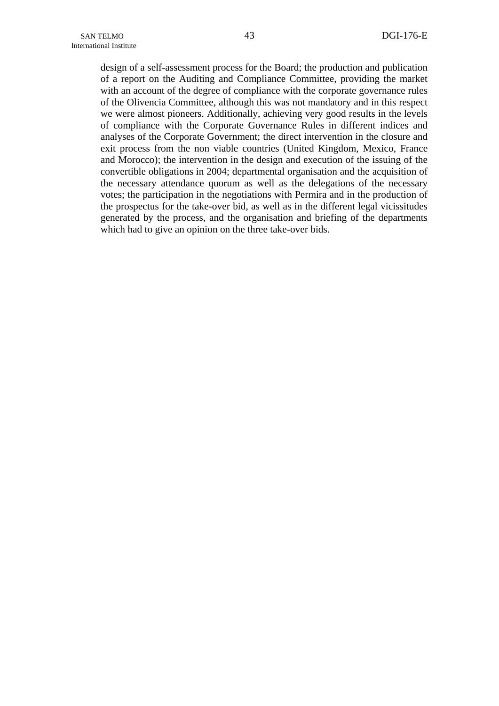design of a self-assessment process for the Board; the production and publication of a report on the Auditing and Compliance Committee, providing the market with an account of the degree of compliance with the corporate governance rules of the Olivencia Committee, although this was not mandatory and in this respect we were almost pioneers. Additionally, achieving very good results in the levels of compliance with the Corporate Governance Rules in different indices and analyses of the Corporate Government; the direct intervention in the closure and exit process from the non viable countries (United Kingdom, Mexico, France and Morocco); the intervention in the design and execution of the issuing of the convertible obligations in 2004; departmental organisation and the acquisition of the necessary attendance quorum as well as the delegations of the necessary votes; the participation in the negotiations with Permira and in the production of the prospectus for the take-over bid, as well as in the different legal vicissitudes generated by the process, and the organisation and briefing of the departments which had to give an opinion on the three take-over bids.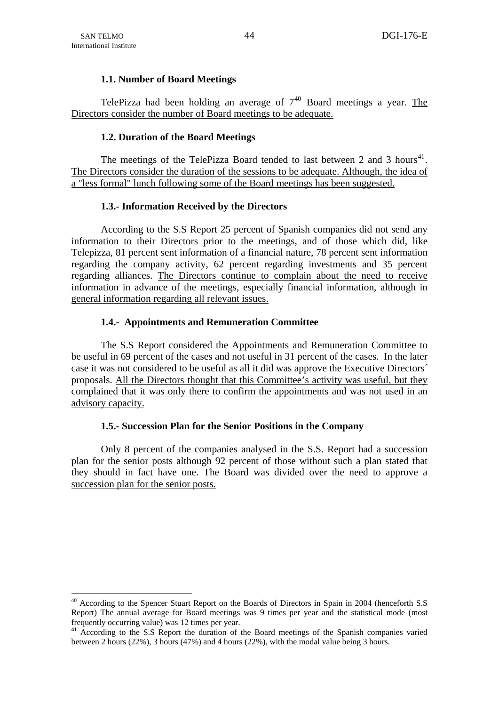1

## **1.1. Number of Board Meetings**

<span id="page-46-0"></span>TelePizza had been holding an average of  $7^{40}$  $7^{40}$  $7^{40}$  Board meetings a year. The Directors consider the number of Board meetings to be adequate.

## **1.2. Duration of the Board Meetings**

The meetings of the TelePizza Board tended to last between 2 and 3 hours<sup>[41](#page-46-0)</sup>. The Directors consider the duration of the sessions to be adequate. Although, the idea of a "less formal" lunch following some of the Board meetings has been suggested.

## **1.3.- Information Received by the Directors**

According to the S.S Report 25 percent of Spanish companies did not send any information to their Directors prior to the meetings, and of those which did, like Telepizza, 81 percent sent information of a financial nature, 78 percent sent information regarding the company activity, 62 percent regarding investments and 35 percent regarding alliances. The Directors continue to complain about the need to receive information in advance of the meetings, especially financial information, although in general information regarding all relevant issues.

## **1.4.- Appointments and Remuneration Committee**

The S.S Report considered the Appointments and Remuneration Committee to be useful in 69 percent of the cases and not useful in 31 percent of the cases. In the later case it was not considered to be useful as all it did was approve the Executive Directors´ proposals. All the Directors thought that this Committee's activity was useful, but they complained that it was only there to confirm the appointments and was not used in an advisory capacity.

## **1.5.- Succession Plan for the Senior Positions in the Company**

Only 8 percent of the companies analysed in the S.S. Report had a succession plan for the senior posts although 92 percent of those without such a plan stated that they should in fact have one. The Board was divided over the need to approve a succession plan for the senior posts.

<sup>&</sup>lt;sup>40</sup> According to the Spencer Stuart Report on the Boards of Directors in Spain in 2004 (henceforth S.S Report) The annual average for Board meetings was 9 times per year and the statistical mode (most frequently occurring value) was 12 times per year.

<sup>&</sup>lt;sup>41</sup> According to the S.S Report the duration of the Board meetings of the Spanish companies varied between 2 hours (22%), 3 hours (47%) and 4 hours (22%), with the modal value being 3 hours.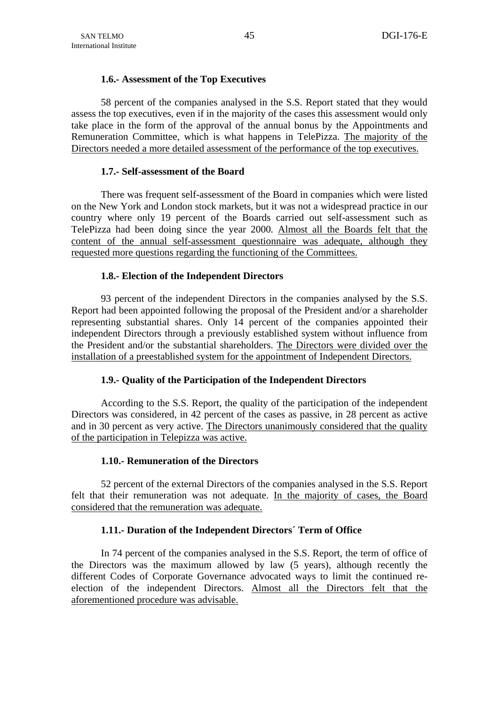## **1.6.- Assessment of the Top Executives**

58 percent of the companies analysed in the S.S. Report stated that they would assess the top executives, even if in the majority of the cases this assessment would only take place in the form of the approval of the annual bonus by the Appointments and Remuneration Committee, which is what happens in TelePizza. The majority of the Directors needed a more detailed assessment of the performance of the top executives.

## **1.7.- Self-assessment of the Board**

There was frequent self-assessment of the Board in companies which were listed on the New York and London stock markets, but it was not a widespread practice in our country where only 19 percent of the Boards carried out self-assessment such as TelePizza had been doing since the year 2000. Almost all the Boards felt that the content of the annual self-assessment questionnaire was adequate, although they requested more questions regarding the functioning of the Committees.

## **1.8.- Election of the Independent Directors**

93 percent of the independent Directors in the companies analysed by the S.S. Report had been appointed following the proposal of the President and/or a shareholder representing substantial shares. Only 14 percent of the companies appointed their independent Directors through a previously established system without influence from the President and/or the substantial shareholders. The Directors were divided over the installation of a preestablished system for the appointment of Independent Directors.

## **1.9.- Quality of the Participation of the Independent Directors**

According to the S.S. Report, the quality of the participation of the independent Directors was considered, in 42 percent of the cases as passive, in 28 percent as active and in 30 percent as very active. The Directors unanimously considered that the quality of the participation in Telepizza was active.

# **1.10.- Remuneration of the Directors**

52 percent of the external Directors of the companies analysed in the S.S. Report felt that their remuneration was not adequate. In the majority of cases, the Board considered that the remuneration was adequate.

# **1.11.- Duration of the Independent Directors´ Term of Office**

In 74 percent of the companies analysed in the S.S. Report, the term of office of the Directors was the maximum allowed by law (5 years), although recently the different Codes of Corporate Governance advocated ways to limit the continued reelection of the independent Directors. Almost all the Directors felt that the aforementioned procedure was advisable.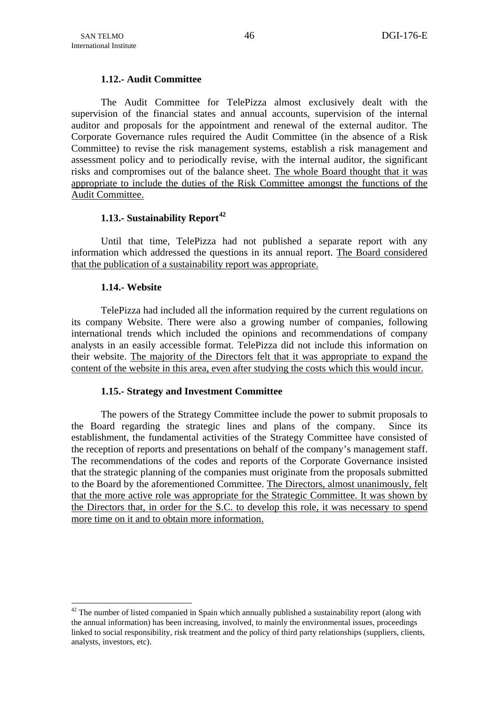# **1.12.- Audit Committee**

<span id="page-48-0"></span>The Audit Committee for TelePizza almost exclusively dealt with the supervision of the financial states and annual accounts, supervision of the internal auditor and proposals for the appointment and renewal of the external auditor. The Corporate Governance rules required the Audit Committee (in the absence of a Risk Committee) to revise the risk management systems, establish a risk management and assessment policy and to periodically revise, with the internal auditor, the significant risks and compromises out of the balance sheet. The whole Board thought that it was appropriate to include the duties of the Risk Committee amongst the functions of the Audit Committee.

# **1.13.- Sustainability Report[42](#page-48-0)**

Until that time, TelePizza had not published a separate report with any information which addressed the questions in its annual report. The Board considered that the publication of a sustainability report was appropriate.

## **1.14.- Website**

1

TelePizza had included all the information required by the current regulations on its company Website. There were also a growing number of companies, following international trends which included the opinions and recommendations of company analysts in an easily accessible format. TelePizza did not include this information on their website. The majority of the Directors felt that it was appropriate to expand the content of the website in this area, even after studying the costs which this would incur.

## **1.15.- Strategy and Investment Committee**

The powers of the Strategy Committee include the power to submit proposals to the Board regarding the strategic lines and plans of the company. Since its establishment, the fundamental activities of the Strategy Committee have consisted of the reception of reports and presentations on behalf of the company's management staff. The recommendations of the codes and reports of the Corporate Governance insisted that the strategic planning of the companies must originate from the proposals submitted to the Board by the aforementioned Committee. The Directors, almost unanimously, felt that the more active role was appropriate for the Strategic Committee. It was shown by the Directors that, in order for the S.C. to develop this role, it was necessary to spend more time on it and to obtain more information.

 $42$  The number of listed companied in Spain which annually published a sustainability report (along with the annual information) has been increasing, involved, to mainly the environmental issues, proceedings linked to social responsibility, risk treatment and the policy of third party relationships (suppliers, clients, analysts, investors, etc).